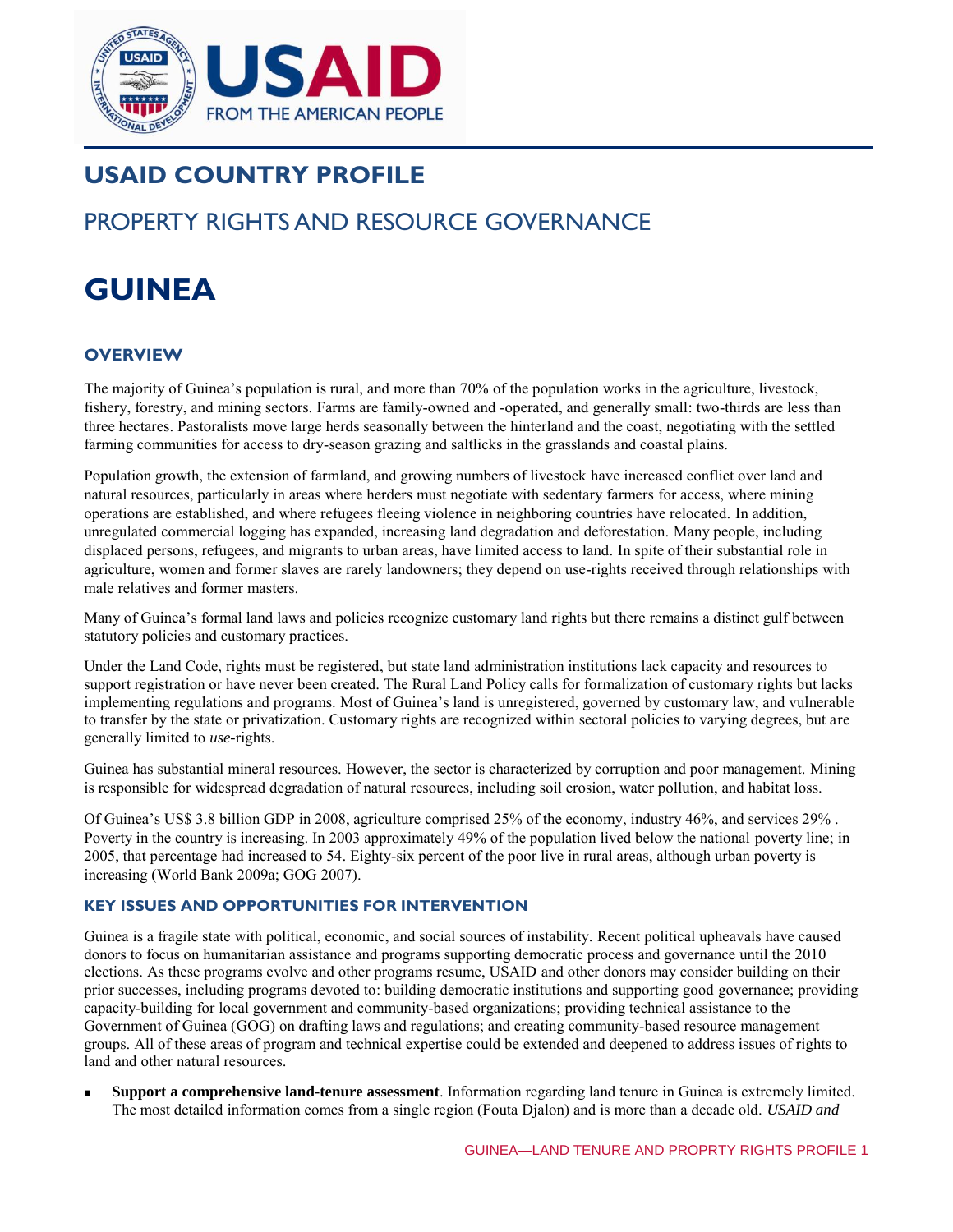

# **USAID COUNTRY PROFILE**

## PROPERTY RIGHTS AND RESOURCE GOVERNANCE

# **GUINEA**

## **OVERVIEW**

The majority of Guinea's population is rural, and more than 70% of the population works in the agriculture, livestock, fishery, forestry, and mining sectors. Farms are family-owned and -operated, and generally small: two-thirds are less than three hectares. Pastoralists move large herds seasonally between the hinterland and the coast, negotiating with the settled farming communities for access to dry-season grazing and saltlicks in the grasslands and coastal plains.

Population growth, the extension of farmland, and growing numbers of livestock have increased conflict over land and natural resources, particularly in areas where herders must negotiate with sedentary farmers for access, where mining operations are established, and where refugees fleeing violence in neighboring countries have relocated. In addition, unregulated commercial logging has expanded, increasing land degradation and deforestation. Many people, including displaced persons, refugees, and migrants to urban areas, have limited access to land. In spite of their substantial role in agriculture, women and former slaves are rarely landowners; they depend on use-rights received through relationships with male relatives and former masters.

Many of Guinea's formal land laws and policies recognize customary land rights but there remains a distinct gulf between statutory policies and customary practices.

Under the Land Code, rights must be registered, but state land administration institutions lack capacity and resources to support registration or have never been created. The Rural Land Policy calls for formalization of customary rights but lacks implementing regulations and programs. Most of Guinea's land is unregistered, governed by customary law, and vulnerable to transfer by the state or privatization. Customary rights are recognized within sectoral policies to varying degrees, but are generally limited to *use-*rights.

Guinea has substantial mineral resources. However, the sector is characterized by corruption and poor management. Mining is responsible for widespread degradation of natural resources, including soil erosion, water pollution, and habitat loss.

Of Guinea's US\$ 3.8 billion GDP in 2008, agriculture comprised 25% of the economy, industry 46%, and services 29% . Poverty in the country is increasing. In 2003 approximately 49% of the population lived below the national poverty line; in 2005, that percentage had increased to 54. Eighty-six percent of the poor live in rural areas, although urban poverty is increasing (World Bank 2009a; GOG 2007).

#### **KEY ISSUES AND OPPORTUNITIES FOR INTERVENTION**

Guinea is a fragile state with political, economic, and social sources of instability. Recent political upheavals have caused donors to focus on humanitarian assistance and programs supporting democratic process and governance until the 2010 elections. As these programs evolve and other programs resume, USAID and other donors may consider building on their prior successes, including programs devoted to: building democratic institutions and supporting good governance; providing capacity-building for local government and community-based organizations; providing technical assistance to the Government of Guinea (GOG) on drafting laws and regulations; and creating community-based resource management groups. All of these areas of program and technical expertise could be extended and deepened to address issues of rights to land and other natural resources.

 **Support a comprehensive land-tenure assessment**. Information regarding land tenure in Guinea is extremely limited. The most detailed information comes from a single region (Fouta Djalon) and is more than a decade old. *USAID and*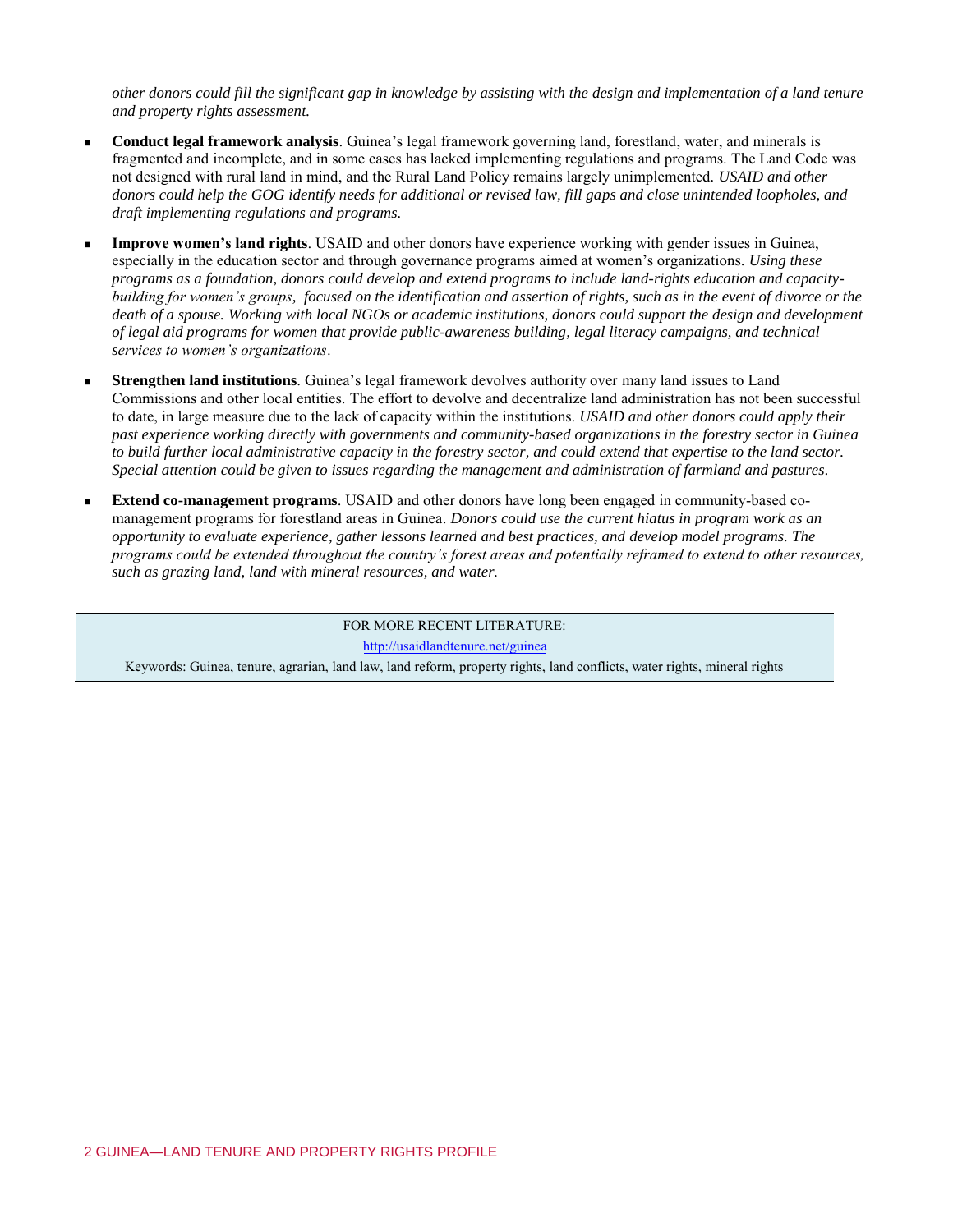*other donors could fill the significant gap in knowledge by assisting with the design and implementation of a land tenure and property rights assessment.* 

- **Conduct legal framework analysis**. Guinea's legal framework governing land, forestland, water, and minerals is fragmented and incomplete, and in some cases has lacked implementing regulations and programs. The Land Code was not designed with rural land in mind, and the Rural Land Policy remains largely unimplemented*. USAID and other donors could help the GOG identify needs for additional or revised law, fill gaps and close unintended loopholes, and draft implementing regulations and programs.*
- **Improve women's land rights**. USAID and other donors have experience working with gender issues in Guinea, especially in the education sector and through governance programs aimed at women's organizations. *Using these programs as a foundation, donors could develop and extend programs to include land-rights education and capacitybuilding for women's groups, focused on the identification and assertion of rights, such as in the event of divorce or the death of a spouse. Working with local NGOs or academic institutions, donors could support the design and development of legal aid programs for women that provide public-awareness building, legal literacy campaigns, and technical services to women's organizations*.
- **Strengthen land institutions**. Guinea's legal framework devolves authority over many land issues to Land Commissions and other local entities. The effort to devolve and decentralize land administration has not been successful to date, in large measure due to the lack of capacity within the institutions. *USAID and other donors could apply their past experience working directly with governments and community-based organizations in the forestry sector in Guinea to build further local administrative capacity in the forestry sector, and could extend that expertise to the land sector. Special attention could be given to issues regarding the management and administration of farmland and pastures.*
- **Extend co-management programs**. USAID and other donors have long been engaged in community-based comanagement programs for forestland areas in Guinea. *Donors could use the current hiatus in program work as an opportunity to evaluate experience, gather lessons learned and best practices, and develop model programs. The programs could be extended throughout the country's forest areas and potentially reframed to extend to other resources, such as grazing land, land with mineral resources, and water.*

FOR MORE RECENT LITERATURE:

<http://usaidlandtenure.net/guinea>

Keywords: Guinea, tenure, agrarian, land law, land reform, property rights, land conflicts, water rights, mineral rights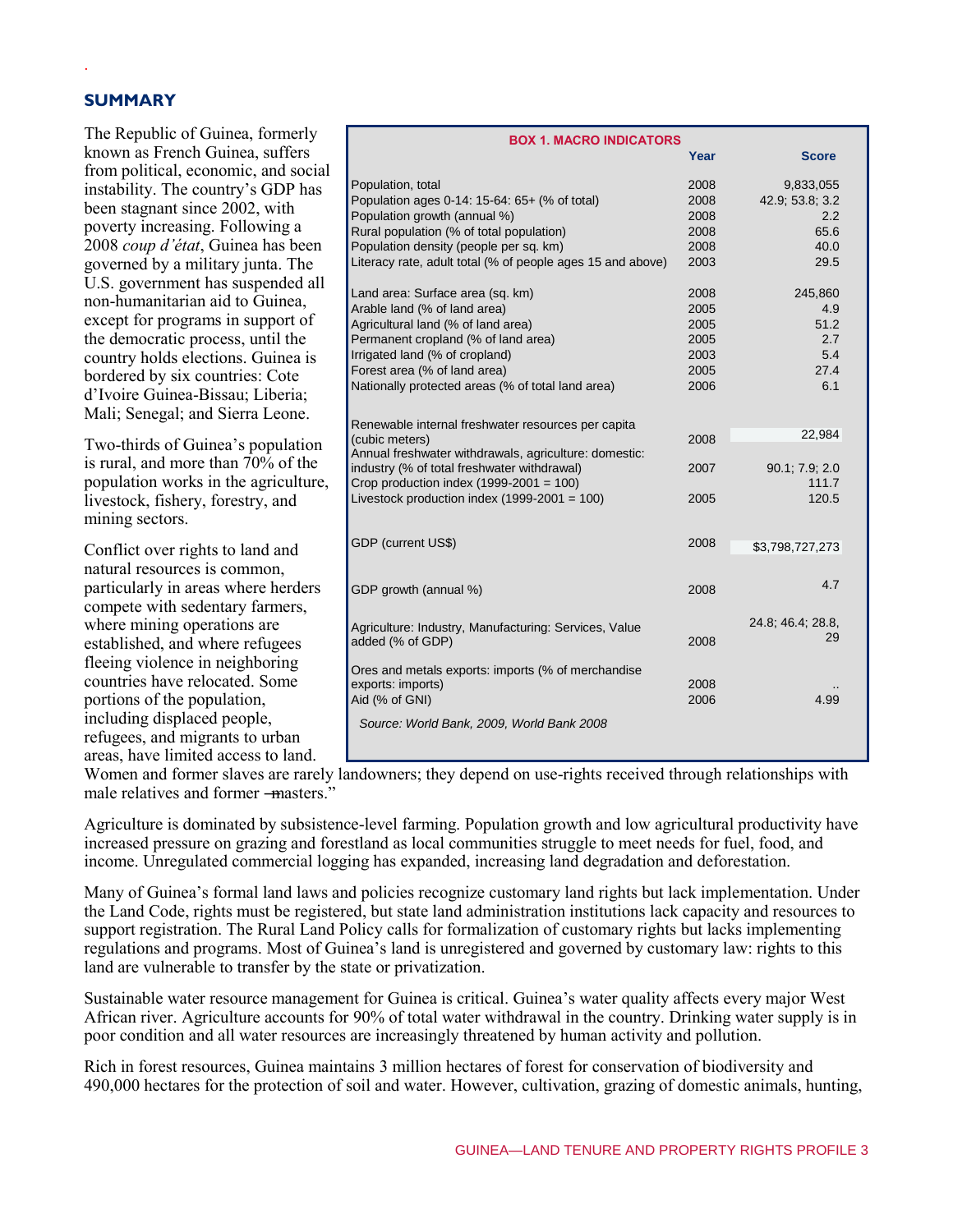## **SUMMARY**

.

The Republic of Guinea, formerly known as French Guinea, suffers from political, economic, and social instability. The country's GDP has been stagnant since 2002, with poverty increasing. Following a 2008 *coup d'état*, Guinea has been governed by a military junta. The U.S. government has suspended all non-humanitarian aid to Guinea, except for programs in support of the democratic process, until the country holds elections. Guinea is bordered by six countries: Cote d'Ivoire Guinea-Bissau; Liberia; Mali; Senegal; and Sierra Leone.

Two-thirds of Guinea's population is rural, and more than 70% of the population works in the agriculture, livestock, fishery, forestry, and mining sectors.

Conflict over rights to land and natural resources is common, particularly in areas where herders compete with sedentary farmers, where mining operations are established, and where refugees fleeing violence in neighboring countries have relocated. Some portions of the population, including displaced people, refugees, and migrants to urban areas, have limited access to land.

| <b>BOX 1. MACRO INDICATORS</b>                             |      |                   |
|------------------------------------------------------------|------|-------------------|
|                                                            | Year | <b>Score</b>      |
| Population, total                                          | 2008 | 9,833,055         |
| Population ages 0-14: 15-64: 65+ (% of total)              | 2008 | 42.9, 53.8, 3.2   |
| Population growth (annual %)                               | 2008 | 2.2               |
| Rural population (% of total population)                   | 2008 | 65.6              |
| Population density (people per sq. km)                     | 2008 | 40.0              |
| Literacy rate, adult total (% of people ages 15 and above) | 2003 | 29.5              |
| Land area: Surface area (sq. km)                           | 2008 | 245,860           |
| Arable land (% of land area)                               | 2005 | 4.9               |
| Agricultural land (% of land area)                         | 2005 | 51.2              |
| Permanent cropland (% of land area)                        | 2005 | 2.7               |
| Irrigated land (% of cropland)                             | 2003 | 5.4               |
| Forest area (% of land area)                               | 2005 | 27.4              |
| Nationally protected areas (% of total land area)          | 2006 | 6.1               |
|                                                            |      |                   |
| Renewable internal freshwater resources per capita         |      |                   |
| (cubic meters)                                             | 2008 | 22,984            |
| Annual freshwater withdrawals, agriculture: domestic:      |      |                   |
| industry (% of total freshwater withdrawal)                | 2007 | 90.1, 7.9, 2.0    |
| Crop production index $(1999-2001 = 100)$                  |      | 111.7             |
| Livestock production index $(1999-2001 = 100)$             | 2005 | 120.5             |
|                                                            |      |                   |
| GDP (current US\$)                                         | 2008 | \$3,798,727,273   |
|                                                            |      |                   |
| GDP growth (annual %)                                      | 2008 | 4.7               |
|                                                            |      |                   |
| Agriculture: Industry, Manufacturing: Services, Value      |      | 24.8; 46.4; 28.8, |
| added (% of GDP)                                           | 2008 | 29                |
|                                                            |      |                   |
| Ores and metals exports: imports (% of merchandise         | 2008 |                   |
| exports: imports)                                          | 2006 |                   |
| Aid (% of GNI)                                             |      | 4.99              |
| Source: World Bank, 2009, World Bank 2008                  |      |                   |
|                                                            |      |                   |

Women and former slaves are rarely landowners; they depend on use-rights received through relationships with male relatives and former -masters."

Agriculture is dominated by subsistence-level farming. Population growth and low agricultural productivity have increased pressure on grazing and forestland as local communities struggle to meet needs for fuel, food, and income. Unregulated commercial logging has expanded, increasing land degradation and deforestation.

Many of Guinea's formal land laws and policies recognize customary land rights but lack implementation. Under the Land Code, rights must be registered, but state land administration institutions lack capacity and resources to support registration. The Rural Land Policy calls for formalization of customary rights but lacks implementing regulations and programs. Most of Guinea's land is unregistered and governed by customary law: rights to this land are vulnerable to transfer by the state or privatization.

Sustainable water resource management for Guinea is critical. Guinea's water quality affects every major West African river. Agriculture accounts for 90% of total water withdrawal in the country. Drinking water supply is in poor condition and all water resources are increasingly threatened by human activity and pollution.

Rich in forest resources, Guinea maintains 3 million hectares of forest for conservation of biodiversity and 490,000 hectares for the protection of soil and water. However, cultivation, grazing of domestic animals, hunting,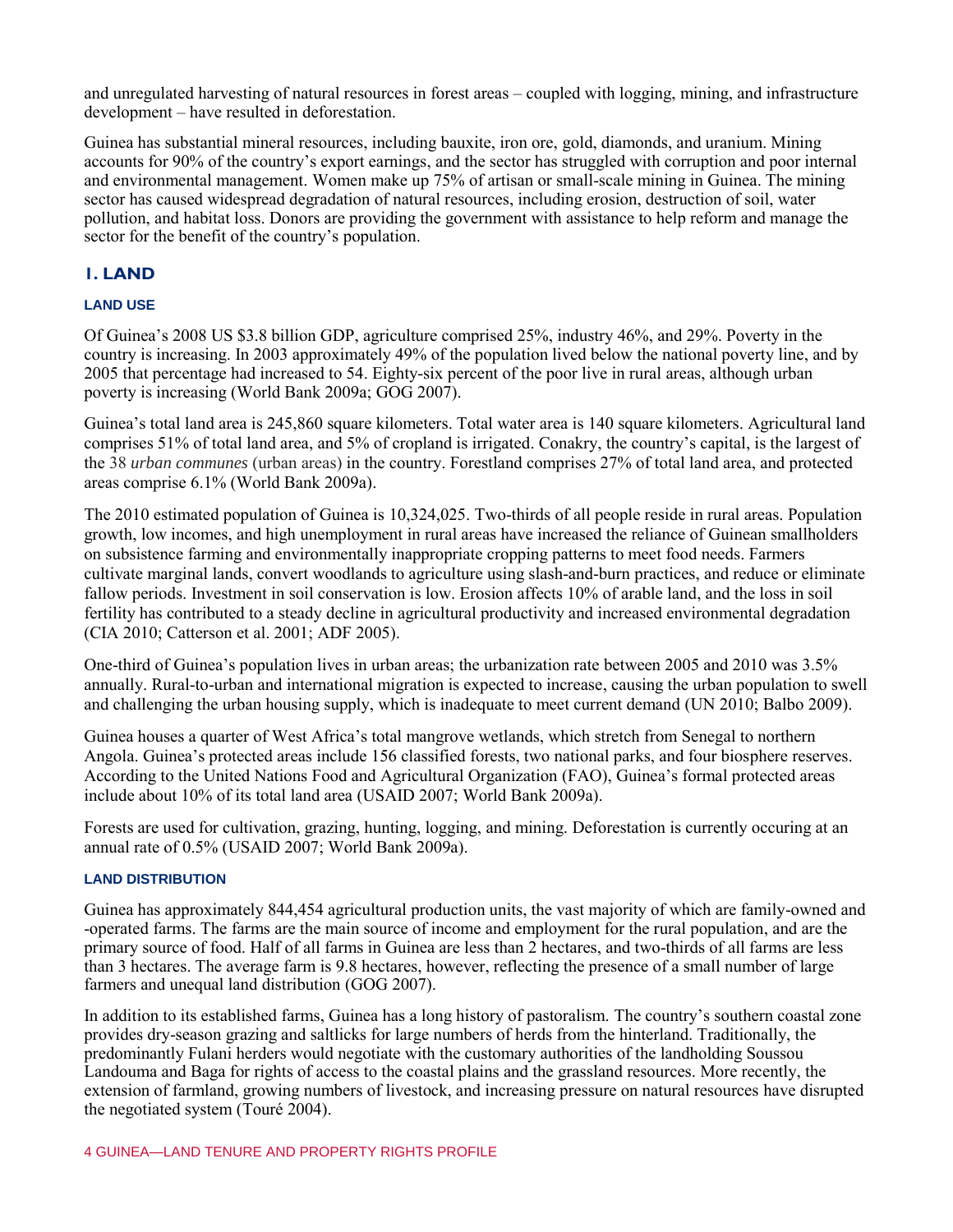and unregulated harvesting of natural resources in forest areas – coupled with logging, mining, and infrastructure development – have resulted in deforestation.

Guinea has substantial mineral resources, including bauxite, iron ore, gold, diamonds, and uranium. Mining accounts for 90% of the country's export earnings, and the sector has struggled with corruption and poor internal and environmental management. Women make up 75% of artisan or small-scale mining in Guinea. The mining sector has caused widespread degradation of natural resources, including erosion, destruction of soil, water pollution, and habitat loss. Donors are providing the government with assistance to help reform and manage the sector for the benefit of the country's population.

## **1. LAND**

## **LAND USE**

Of Guinea's 2008 US \$3.8 billion GDP, agriculture comprised 25%, industry 46%, and 29%. Poverty in the country is increasing. In 2003 approximately 49% of the population lived below the national poverty line, and by 2005 that percentage had increased to 54. Eighty-six percent of the poor live in rural areas, although urban poverty is increasing (World Bank 2009a; GOG 2007).

Guinea's total land area is 245,860 square kilometers. Total water area is 140 square kilometers. Agricultural land comprises 51% of total land area, and 5% of cropland is irrigated. Conakry, the country's capital, is the largest of the 38 *urban communes* (urban areas) in the country. Forestland comprises 27% of total land area, and protected areas comprise 6.1% (World Bank 2009a).

The 2010 estimated population of Guinea is 10,324,025. Two-thirds of all people reside in rural areas. Population growth, low incomes, and high unemployment in rural areas have increased the reliance of Guinean smallholders on subsistence farming and environmentally inappropriate cropping patterns to meet food needs. Farmers cultivate marginal lands, convert woodlands to agriculture using slash-and-burn practices, and reduce or eliminate fallow periods. Investment in soil conservation is low. Erosion affects 10% of arable land, and the loss in soil fertility has contributed to a steady decline in agricultural productivity and increased environmental degradation (CIA 2010; Catterson et al. 2001; ADF 2005).

One-third of Guinea's population lives in urban areas; the urbanization rate between 2005 and 2010 was 3.5% annually. Rural-to-urban and international migration is expected to increase, causing the urban population to swell and challenging the urban housing supply, which is inadequate to meet current demand (UN 2010; Balbo 2009).

Guinea houses a quarter of West Africa's total mangrove wetlands, which stretch from Senegal to northern Angola. Guinea's protected areas include 156 classified forests, two national parks, and four biosphere reserves. According to the United Nations Food and Agricultural Organization (FAO), Guinea's formal protected areas include about 10% of its total land area (USAID 2007; World Bank 2009a).

Forests are used for cultivation, grazing, hunting, logging, and mining. Deforestation is currently occuring at an annual rate of 0.5% (USAID 2007; World Bank 2009a).

#### **LAND DISTRIBUTION**

Guinea has approximately 844,454 agricultural production units, the vast majority of which are family-owned and -operated farms. The farms are the main source of income and employment for the rural population, and are the primary source of food. Half of all farms in Guinea are less than 2 hectares, and two-thirds of all farms are less than 3 hectares. The average farm is 9.8 hectares, however, reflecting the presence of a small number of large farmers and unequal land distribution (GOG 2007).

In addition to its established farms, Guinea has a long history of pastoralism. The country's southern coastal zone provides dry-season grazing and saltlicks for large numbers of herds from the hinterland. Traditionally, the predominantly Fulani herders would negotiate with the customary authorities of the landholding Soussou Landouma and Baga for rights of access to the coastal plains and the grassland resources. More recently, the extension of farmland, growing numbers of livestock, and increasing pressure on natural resources have disrupted the negotiated system (Touré 2004).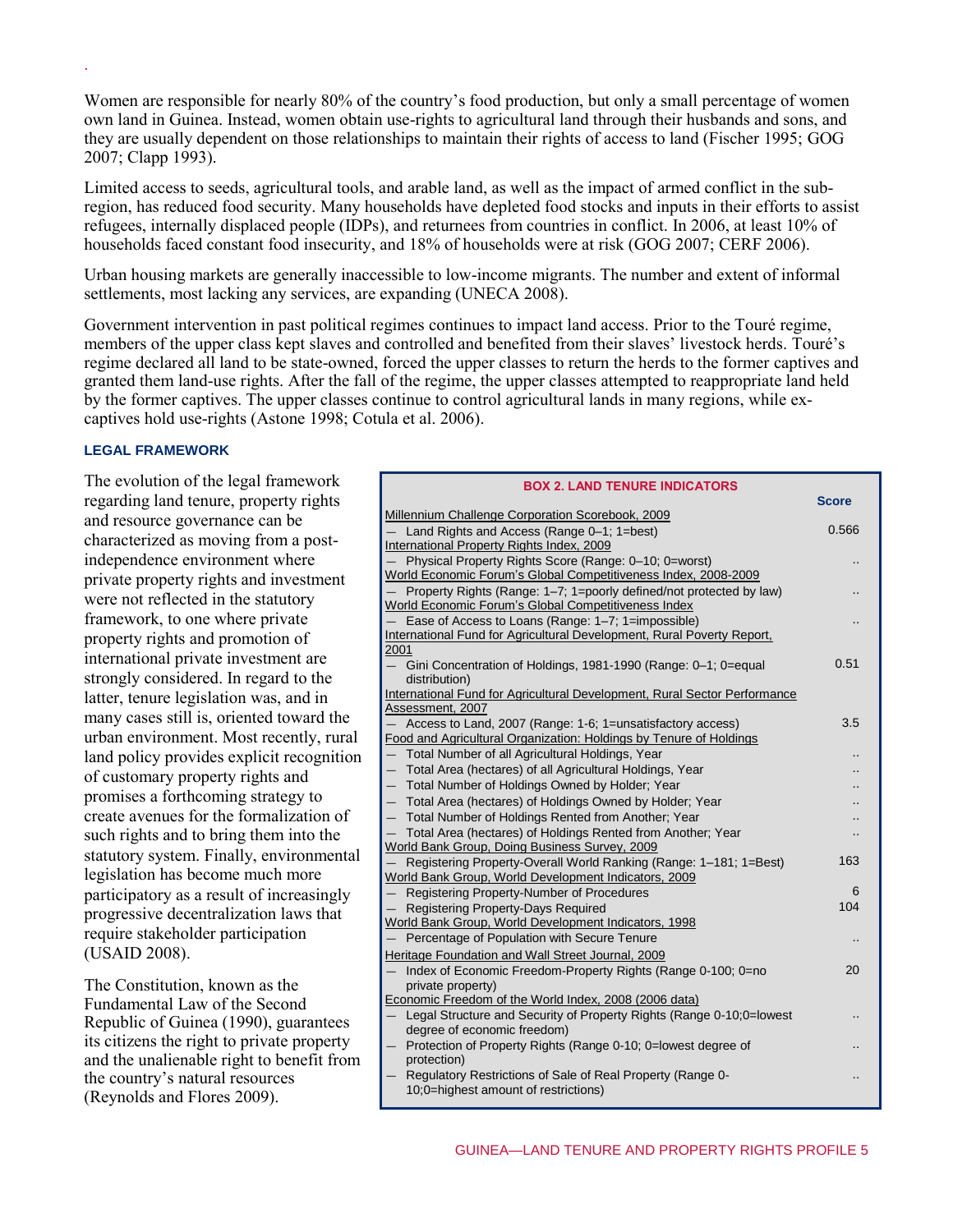Women are responsible for nearly 80% of the country's food production, but only a small percentage of women own land in Guinea. Instead, women obtain use-rights to agricultural land through their husbands and sons, and they are usually dependent on those relationships to maintain their rights of access to land (Fischer 1995; GOG 2007; Clapp 1993).

Limited access to seeds, agricultural tools, and arable land, as well as the impact of armed conflict in the subregion, has reduced food security. Many households have depleted food stocks and inputs in their efforts to assist refugees, internally displaced people (IDPs), and returnees from countries in conflict. In 2006, at least 10% of households faced constant food insecurity, and 18% of households were at risk (GOG 2007; CERF 2006).

Urban housing markets are generally inaccessible to low-income migrants. The number and extent of informal settlements, most lacking any services, are expanding (UNECA 2008).

Government intervention in past political regimes continues to impact land access. Prior to the Touré regime, members of the upper class kept slaves and controlled and benefited from their slaves' livestock herds. Touré's regime declared all land to be state-owned, forced the upper classes to return the herds to the former captives and granted them land-use rights. After the fall of the regime, the upper classes attempted to reappropriate land held by the former captives. The upper classes continue to control agricultural lands in many regions, while excaptives hold use-rights (Astone 1998; Cotula et al. 2006).

#### **LEGAL FRAMEWORK**

.

The evolution of the legal framework regarding land tenure, property rights and resource governance can be characterized as moving from a postindependence environment where private property rights and investment were not reflected in the statutory framework, to one where private property rights and promotion of international private investment are strongly considered. In regard to the latter, tenure legislation was, and in many cases still is, oriented toward the urban environment. Most recently, rural land policy provides explicit recognition of customary property rights and promises a forthcoming strategy to create avenues for the formalization of such rights and to bring them into the statutory system. Finally, environmental legislation has become much more participatory as a result of increasingly progressive decentralization laws that require stakeholder participation (USAID 2008).

The Constitution, known as the Fundamental Law of the Second Republic of Guinea (1990), guarantees its citizens the right to private property and the unalienable right to benefit from the country's natural resources (Reynolds and Flores 2009).

| <b>BOX 2. LAND TENURE INDICATORS</b>                                                                                       |              |  |
|----------------------------------------------------------------------------------------------------------------------------|--------------|--|
|                                                                                                                            | <b>Score</b> |  |
| Millennium Challenge Corporation Scorebook, 2009                                                                           | 0.566        |  |
| Land Rights and Access (Range 0-1; 1=best)                                                                                 |              |  |
| International Property Rights Index, 2009                                                                                  |              |  |
| Physical Property Rights Score (Range: 0-10; 0=worst)                                                                      |              |  |
| World Economic Forum's Global Competitiveness Index, 2008-2009                                                             |              |  |
| Property Rights (Range: 1-7; 1=poorly defined/not protected by law)<br>World Economic Forum's Global Competitiveness Index |              |  |
| Ease of Access to Loans (Range: 1-7; 1=impossible)                                                                         |              |  |
| International Fund for Agricultural Development, Rural Poverty Report,                                                     |              |  |
| 2001                                                                                                                       |              |  |
| Gini Concentration of Holdings, 1981-1990 (Range: 0-1; 0=equal                                                             | 0.51         |  |
| distribution)                                                                                                              |              |  |
| International Fund for Agricultural Development, Rural Sector Performance                                                  |              |  |
| Assessment, 2007                                                                                                           |              |  |
| Access to Land, 2007 (Range: 1-6; 1=unsatisfactory access)                                                                 | 3.5          |  |
| Food and Agricultural Organization: Holdings by Tenure of Holdings                                                         |              |  |
| Total Number of all Agricultural Holdings, Year                                                                            |              |  |
| Total Area (hectares) of all Agricultural Holdings, Year<br>$\qquad \qquad -$                                              |              |  |
| Total Number of Holdings Owned by Holder; Year<br>$\overline{\phantom{0}}$                                                 |              |  |
| Total Area (hectares) of Holdings Owned by Holder; Year<br>$-$                                                             |              |  |
| Total Number of Holdings Rented from Another; Year                                                                         |              |  |
| Total Area (hectares) of Holdings Rented from Another; Year                                                                |              |  |
| World Bank Group, Doing Business Survey, 2009                                                                              |              |  |
| Registering Property-Overall World Ranking (Range: 1-181; 1=Best)                                                          | 163          |  |
| World Bank Group, World Development Indicators, 2009                                                                       | 6            |  |
| Registering Property-Number of Procedures<br>$\overline{\phantom{0}}$                                                      | 104          |  |
| Registering Property-Days Required<br>World Bank Group, World Development Indicators, 1998                                 |              |  |
| Percentage of Population with Secure Tenure                                                                                |              |  |
| Heritage Foundation and Wall Street Journal, 2009                                                                          |              |  |
| Index of Economic Freedom-Property Rights (Range 0-100; 0=no                                                               | 20           |  |
| private property)                                                                                                          |              |  |
| Economic Freedom of the World Index, 2008 (2006 data)                                                                      |              |  |
| Legal Structure and Security of Property Rights (Range 0-10:0=lowest                                                       |              |  |
| degree of economic freedom)                                                                                                |              |  |
| Protection of Property Rights (Range 0-10; 0=lowest degree of                                                              |              |  |
| protection)                                                                                                                |              |  |
| Regulatory Restrictions of Sale of Real Property (Range 0-                                                                 |              |  |
| 10;0=highest amount of restrictions)                                                                                       |              |  |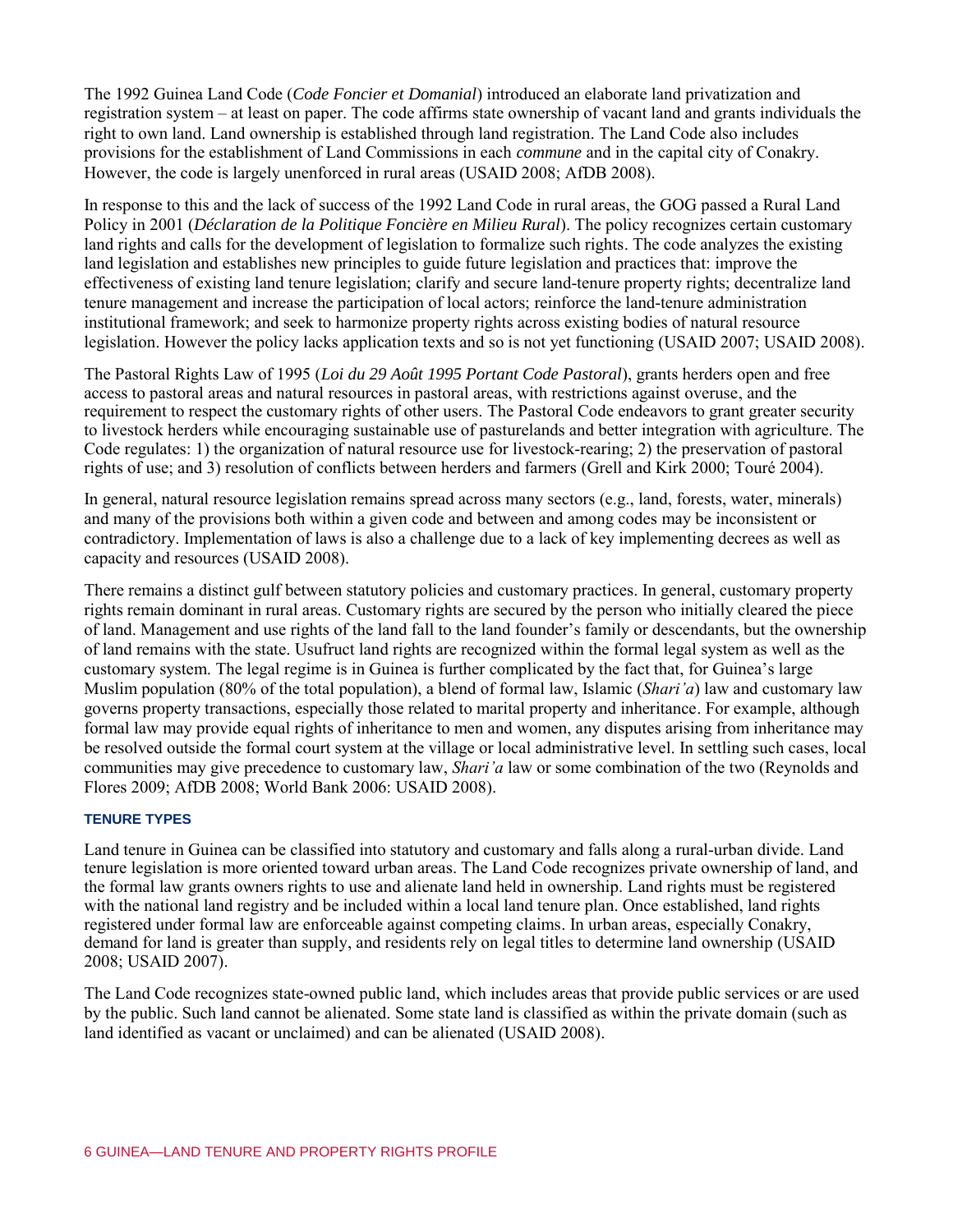The 1992 Guinea Land Code (*Code Foncier et Domanial*) introduced an elaborate land privatization and registration system – at least on paper. The code affirms state ownership of vacant land and grants individuals the right to own land. Land ownership is established through land registration. The Land Code also includes provisions for the establishment of Land Commissions in each *commune* and in the capital city of Conakry. However, the code is largely unenforced in rural areas (USAID 2008; AfDB 2008).

In response to this and the lack of success of the 1992 Land Code in rural areas, the GOG passed a Rural Land Policy in 2001 (*Déclaration de la Politique Foncière en Milieu Rural*). The policy recognizes certain customary land rights and calls for the development of legislation to formalize such rights. The code analyzes the existing land legislation and establishes new principles to guide future legislation and practices that: improve the effectiveness of existing land tenure legislation; clarify and secure land-tenure property rights; decentralize land tenure management and increase the participation of local actors; reinforce the land-tenure administration institutional framework; and seek to harmonize property rights across existing bodies of natural resource legislation. However the policy lacks application texts and so is not yet functioning (USAID 2007; USAID 2008).

The Pastoral Rights Law of 1995 (*Loi du 29 Août 1995 Portant Code Pastoral*), grants herders open and free access to pastoral areas and natural resources in pastoral areas, with restrictions against overuse, and the requirement to respect the customary rights of other users. The Pastoral Code endeavors to grant greater security to livestock herders while encouraging sustainable use of pasturelands and better integration with agriculture. The Code regulates: 1) the organization of natural resource use for livestock-rearing; 2) the preservation of pastoral rights of use; and 3) resolution of conflicts between herders and farmers (Grell and Kirk 2000; Touré 2004).

In general, natural resource legislation remains spread across many sectors (e.g., land, forests, water, minerals) and many of the provisions both within a given code and between and among codes may be inconsistent or contradictory. Implementation of laws is also a challenge due to a lack of key implementing decrees as well as capacity and resources (USAID 2008).

There remains a distinct gulf between statutory policies and customary practices. In general, customary property rights remain dominant in rural areas. Customary rights are secured by the person who initially cleared the piece of land. Management and use rights of the land fall to the land founder's family or descendants, but the ownership of land remains with the state. Usufruct land rights are recognized within the formal legal system as well as the customary system. The legal regime is in Guinea is further complicated by the fact that, for Guinea's large Muslim population (80% of the total population), a blend of formal law, Islamic (*Shari'a*) law and customary law governs property transactions, especially those related to marital property and inheritance. For example, although formal law may provide equal rights of inheritance to men and women, any disputes arising from inheritance may be resolved outside the formal court system at the village or local administrative level. In settling such cases, local communities may give precedence to customary law, *Shari'a* law or some combination of the two (Reynolds and Flores 2009; AfDB 2008; World Bank 2006: USAID 2008).

#### **TENURE TYPES**

Land tenure in Guinea can be classified into statutory and customary and falls along a rural-urban divide. Land tenure legislation is more oriented toward urban areas. The Land Code recognizes private ownership of land, and the formal law grants owners rights to use and alienate land held in ownership. Land rights must be registered with the national land registry and be included within a local land tenure plan. Once established, land rights registered under formal law are enforceable against competing claims. In urban areas, especially Conakry, demand for land is greater than supply, and residents rely on legal titles to determine land ownership (USAID 2008; USAID 2007).

The Land Code recognizes state-owned public land, which includes areas that provide public services or are used by the public. Such land cannot be alienated. Some state land is classified as within the private domain (such as land identified as vacant or unclaimed) and can be alienated (USAID 2008).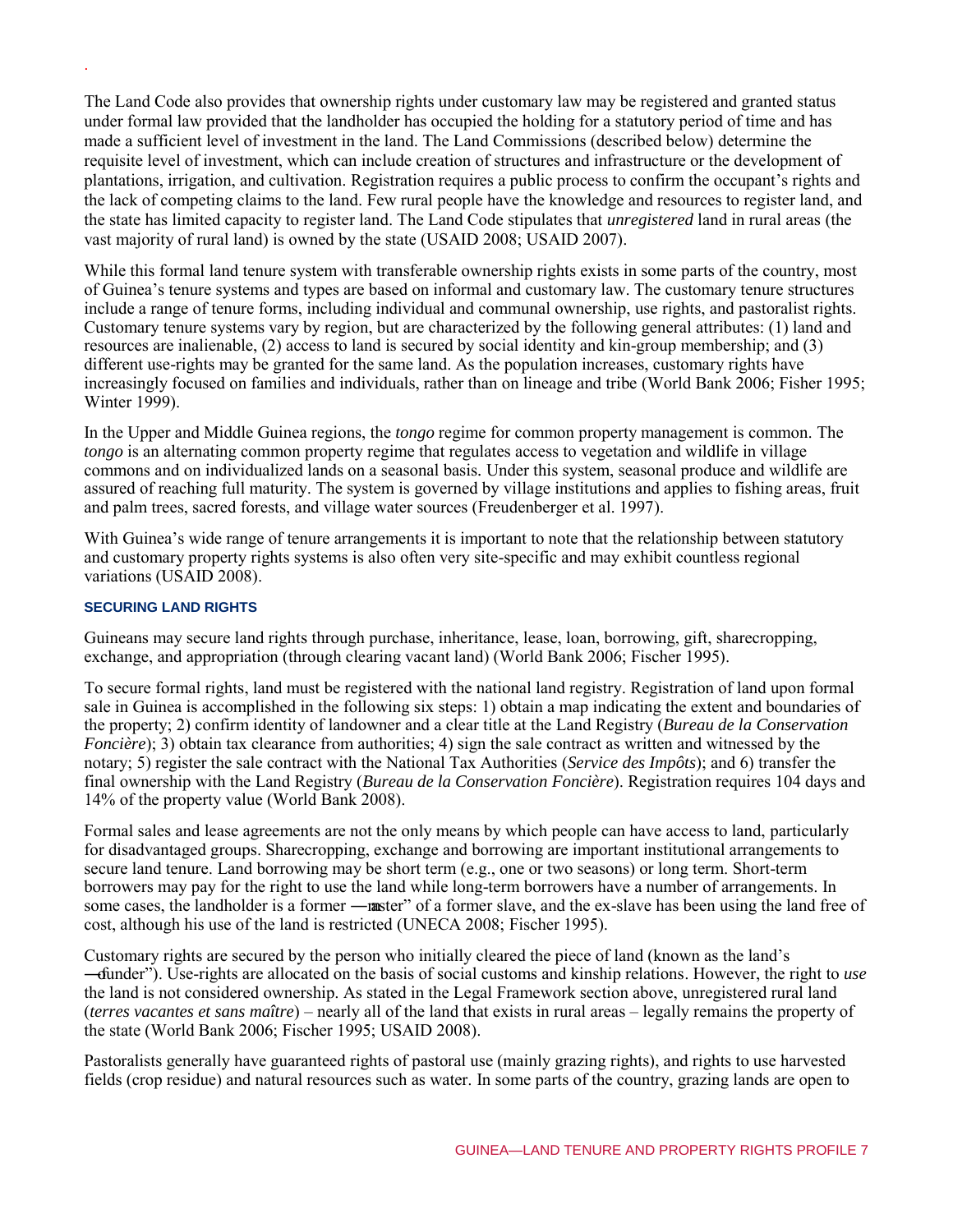The Land Code also provides that ownership rights under customary law may be registered and granted status under formal law provided that the landholder has occupied the holding for a statutory period of time and has made a sufficient level of investment in the land. The Land Commissions (described below) determine the requisite level of investment, which can include creation of structures and infrastructure or the development of plantations, irrigation, and cultivation. Registration requires a public process to confirm the occupant's rights and the lack of competing claims to the land. Few rural people have the knowledge and resources to register land, and the state has limited capacity to register land. The Land Code stipulates that *unregistered* land in rural areas (the vast majority of rural land) is owned by the state (USAID 2008; USAID 2007).

While this formal land tenure system with transferable ownership rights exists in some parts of the country, most of Guinea's tenure systems and types are based on informal and customary law. The customary tenure structures include a range of tenure forms, including individual and communal ownership, use rights, and pastoralist rights. Customary tenure systems vary by region, but are characterized by the following general attributes: (1) land and resources are inalienable, (2) access to land is secured by social identity and kin-group membership; and (3) different use-rights may be granted for the same land. As the population increases, customary rights have increasingly focused on families and individuals, rather than on lineage and tribe (World Bank 2006; Fisher 1995; Winter 1999).

In the Upper and Middle Guinea regions, the *tongo* regime for common property management is common. The *tongo* is an alternating common property regime that regulates access to vegetation and wildlife in village commons and on individualized lands on a seasonal basis*.* Under this system, seasonal produce and wildlife are assured of reaching full maturity. The system is governed by village institutions and applies to fishing areas, fruit and palm trees, sacred forests, and village water sources (Freudenberger et al. 1997).

With Guinea's wide range of tenure arrangements it is important to note that the relationship between statutory and customary property rights systems is also often very site-specific and may exhibit countless regional variations (USAID 2008).

## **SECURING LAND RIGHTS**

.

Guineans may secure land rights through purchase, inheritance, lease, loan, borrowing, gift, sharecropping, exchange, and appropriation (through clearing vacant land) (World Bank 2006; Fischer 1995).

To secure formal rights, land must be registered with the national land registry. Registration of land upon formal sale in Guinea is accomplished in the following six steps: 1) obtain a map indicating the extent and boundaries of the property; 2) confirm identity of landowner and a clear title at the Land Registry (*Bureau de la Conservation Foncière*); 3) obtain tax clearance from authorities; 4) sign the sale contract as written and witnessed by the notary; 5) register the sale contract with the National Tax Authorities (*Service des Impôts*); and 6) transfer the final ownership with the Land Registry (*Bureau de la Conservation Foncière*). Registration requires 104 days and 14% of the property value (World Bank 2008).

Formal sales and lease agreements are not the only means by which people can have access to land, particularly for disadvantaged groups. Sharecropping, exchange and borrowing are important institutional arrangements to secure land tenure. Land borrowing may be short term (e.g., one or two seasons) or long term. Short-term borrowers may pay for the right to use the land while long-term borrowers have a number of arrangements. In some cases, the landholder is a former —**modeler** of a former slave, and the ex-slave has been using the land free of cost, although his use of the land is restricted (UNECA 2008; Fischer 1995).

Customary rights are secured by the person who initially cleared the piece of land (known as the land's ―founder‖). Use-rights are allocated on the basis of social customs and kinship relations. However, the right to *use* the land is not considered ownership. As stated in the Legal Framework section above, unregistered rural land (*terres vacantes et sans maître*) – nearly all of the land that exists in rural areas – legally remains the property of the state (World Bank 2006; Fischer 1995; USAID 2008).

Pastoralists generally have guaranteed rights of pastoral use (mainly grazing rights), and rights to use harvested fields (crop residue) and natural resources such as water. In some parts of the country, grazing lands are open to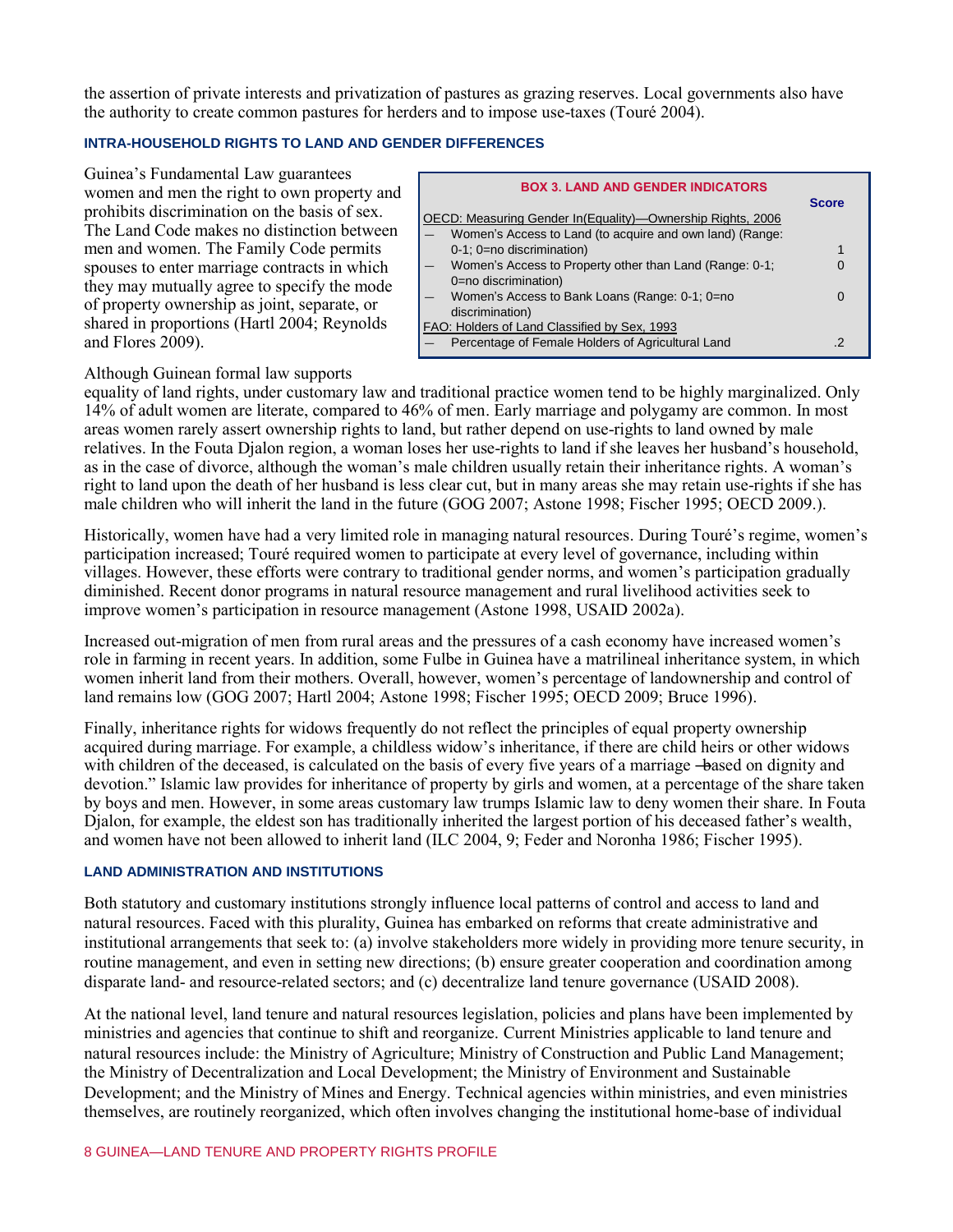the assertion of private interests and privatization of pastures as grazing reserves. Local governments also have the authority to create common pastures for herders and to impose use-taxes (Touré 2004).

## **INTRA-HOUSEHOLD RIGHTS TO LAND AND GENDER DIFFERENCES**

Guinea's Fundamental Law guarantees women and men the right to own property and prohibits discrimination on the basis of sex. The Land Code makes no distinction between men and women. The Family Code permits spouses to enter marriage contracts in which they may mutually agree to specify the mode of property ownership as joint, separate, or shared in proportions (Hartl 2004; Reynolds and Flores 2009).

| <b>BOX 3. LAND AND GENDER INDICATORS</b>                    |  |
|-------------------------------------------------------------|--|
| OECD: Measuring Gender In (Equality)—Ownership Rights, 2006 |  |
| Women's Access to Land (to acquire and own land) (Range:    |  |
| 0-1; 0=no discrimination)                                   |  |
| Women's Access to Property other than Land (Range: 0-1;     |  |
| 0=no discrimination)                                        |  |
| Women's Access to Bank Loans (Range: 0-1; 0=no              |  |
| discrimination)                                             |  |
| FAO: Holders of Land Classified by Sex, 1993                |  |
| Percentage of Female Holders of Agricultural Land           |  |

## Although Guinean formal law supports

equality of land rights, under customary law and traditional practice women tend to be highly marginalized. Only 14% of adult women are literate, compared to 46% of men. Early marriage and polygamy are common. In most areas women rarely assert ownership rights to land, but rather depend on use-rights to land owned by male relatives. In the Fouta Djalon region, a woman loses her use-rights to land if she leaves her husband's household, as in the case of divorce, although the woman's male children usually retain their inheritance rights. A woman's right to land upon the death of her husband is less clear cut, but in many areas she may retain use-rights if she has male children who will inherit the land in the future (GOG 2007; Astone 1998; Fischer 1995; OECD 2009.).

Historically, women have had a very limited role in managing natural resources. During Touré's regime, women's participation increased; Touré required women to participate at every level of governance, including within villages. However, these efforts were contrary to traditional gender norms, and women's participation gradually diminished. Recent donor programs in natural resource management and rural livelihood activities seek to improve women's participation in resource management (Astone 1998, USAID 2002a).

Increased out-migration of men from rural areas and the pressures of a cash economy have increased women's role in farming in recent years. In addition, some Fulbe in Guinea have a matrilineal inheritance system, in which women inherit land from their mothers. Overall, however, women's percentage of landownership and control of land remains low (GOG 2007; Hartl 2004; Astone 1998; Fischer 1995; OECD 2009; Bruce 1996).

Finally, inheritance rights for widows frequently do not reflect the principles of equal property ownership acquired during marriage. For example, a childless widow's inheritance, if there are child heirs or other widows with children of the deceased, is calculated on the basis of every five years of a marriage —based on dignity and devotion." Islamic law provides for inheritance of property by girls and women, at a percentage of the share taken by boys and men. However, in some areas customary law trumps Islamic law to deny women their share. In Fouta Djalon, for example, the eldest son has traditionally inherited the largest portion of his deceased father's wealth, and women have not been allowed to inherit land (ILC 2004, 9; Feder and Noronha 1986; Fischer 1995).

#### **LAND ADMINISTRATION AND INSTITUTIONS**

Both statutory and customary institutions strongly influence local patterns of control and access to land and natural resources. Faced with this plurality, Guinea has embarked on reforms that create administrative and institutional arrangements that seek to: (a) involve stakeholders more widely in providing more tenure security, in routine management, and even in setting new directions; (b) ensure greater cooperation and coordination among disparate land- and resource-related sectors; and (c) decentralize land tenure governance (USAID 2008).

At the national level, land tenure and natural resources legislation, policies and plans have been implemented by ministries and agencies that continue to shift and reorganize. Current Ministries applicable to land tenure and natural resources include: the Ministry of Agriculture; Ministry of Construction and Public Land Management; the Ministry of Decentralization and Local Development; the Ministry of Environment and Sustainable Development; and the Ministry of Mines and Energy. Technical agencies within ministries, and even ministries themselves, are routinely reorganized, which often involves changing the institutional home-base of individual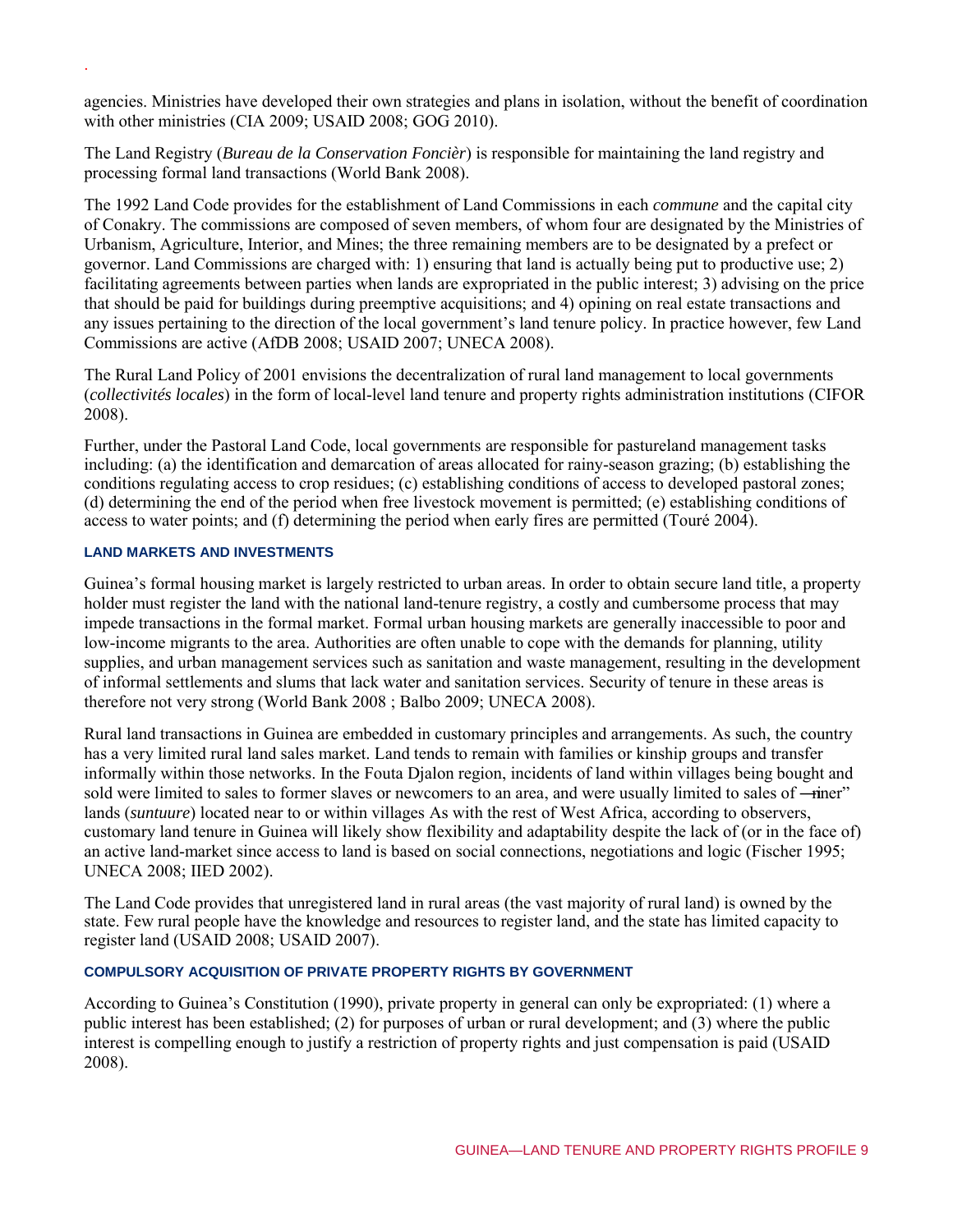agencies. Ministries have developed their own strategies and plans in isolation, without the benefit of coordination with other ministries (CIA 2009; USAID 2008; GOG 2010).

The Land Registry (*Bureau de la Conservation Foncièr*) is responsible for maintaining the land registry and processing formal land transactions (World Bank 2008).

The 1992 Land Code provides for the establishment of Land Commissions in each *commune* and the capital city of Conakry. The commissions are composed of seven members, of whom four are designated by the Ministries of Urbanism, Agriculture, Interior, and Mines; the three remaining members are to be designated by a prefect or governor. Land Commissions are charged with: 1) ensuring that land is actually being put to productive use; 2) facilitating agreements between parties when lands are expropriated in the public interest; 3) advising on the price that should be paid for buildings during preemptive acquisitions; and 4) opining on real estate transactions and any issues pertaining to the direction of the local government's land tenure policy. In practice however, few Land Commissions are active (AfDB 2008; USAID 2007; UNECA 2008).

The Rural Land Policy of 2001 envisions the decentralization of rural land management to local governments (*collectivités locales*) in the form of local-level land tenure and property rights administration institutions (CIFOR 2008).

Further, under the Pastoral Land Code, local governments are responsible for pastureland management tasks including: (a) the identification and demarcation of areas allocated for rainy-season grazing; (b) establishing the conditions regulating access to crop residues; (c) establishing conditions of access to developed pastoral zones; (d) determining the end of the period when free livestock movement is permitted; (e) establishing conditions of access to water points; and (f) determining the period when early fires are permitted (Touré 2004).

#### **LAND MARKETS AND INVESTMENTS**

.

Guinea's formal housing market is largely restricted to urban areas. In order to obtain secure land title, a property holder must register the land with the national land-tenure registry, a costly and cumbersome process that may impede transactions in the formal market. Formal urban housing markets are generally inaccessible to poor and low-income migrants to the area. Authorities are often unable to cope with the demands for planning, utility supplies, and urban management services such as sanitation and waste management, resulting in the development of informal settlements and slums that lack water and sanitation services. Security of tenure in these areas is therefore not very strong (World Bank 2008 ; Balbo 2009; UNECA 2008).

Rural land transactions in Guinea are embedded in customary principles and arrangements. As such, the country has a very limited rural land sales market. Land tends to remain with families or kinship groups and transfer informally within those networks. In the Fouta Djalon region, incidents of land within villages being bought and sold were limited to sales to former slaves or newcomers to an area, and were usually limited to sales of —iner" lands (*suntuure*) located near to or within villages As with the rest of West Africa, according to observers, customary land tenure in Guinea will likely show flexibility and adaptability despite the lack of (or in the face of) an active land-market since access to land is based on social connections, negotiations and logic (Fischer 1995; UNECA 2008; IIED 2002).

The Land Code provides that unregistered land in rural areas (the vast majority of rural land) is owned by the state. Few rural people have the knowledge and resources to register land, and the state has limited capacity to register land (USAID 2008; USAID 2007).

#### **COMPULSORY ACQUISITION OF PRIVATE PROPERTY RIGHTS BY GOVERNMENT**

According to Guinea's Constitution (1990), private property in general can only be expropriated: (1) where a public interest has been established; (2) for purposes of urban or rural development; and (3) where the public interest is compelling enough to justify a restriction of property rights and just compensation is paid (USAID 2008).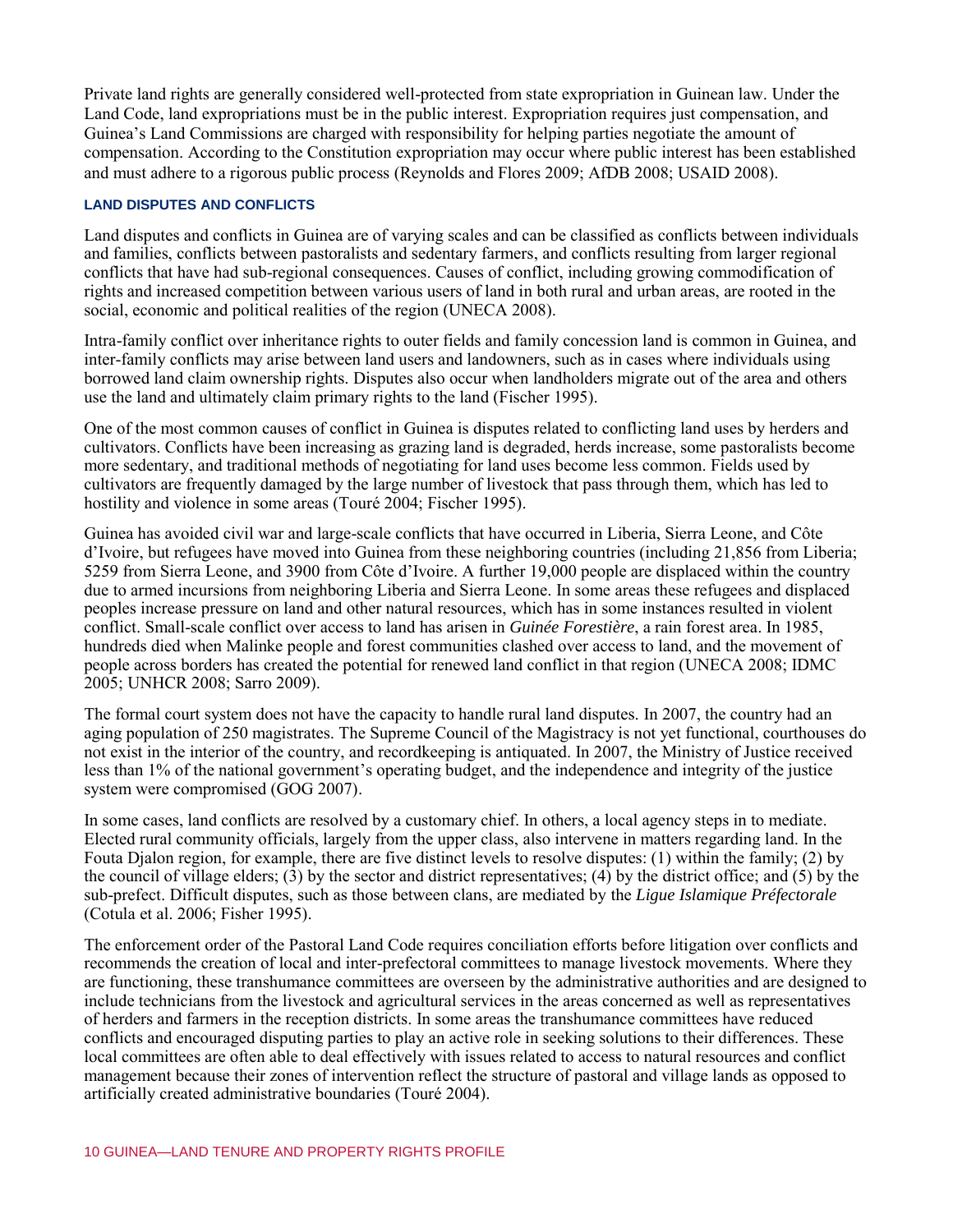Private land rights are generally considered well-protected from state expropriation in Guinean law. Under the Land Code, land expropriations must be in the public interest. Expropriation requires just compensation, and Guinea's Land Commissions are charged with responsibility for helping parties negotiate the amount of compensation. According to the Constitution expropriation may occur where public interest has been established and must adhere to a rigorous public process (Reynolds and Flores 2009; AfDB 2008; USAID 2008).

## **LAND DISPUTES AND CONFLICTS**

Land disputes and conflicts in Guinea are of varying scales and can be classified as conflicts between individuals and families, conflicts between pastoralists and sedentary farmers, and conflicts resulting from larger regional conflicts that have had sub-regional consequences. Causes of conflict, including growing commodification of rights and increased competition between various users of land in both rural and urban areas, are rooted in the social, economic and political realities of the region (UNECA 2008).

Intra-family conflict over inheritance rights to outer fields and family concession land is common in Guinea, and inter-family conflicts may arise between land users and landowners, such as in cases where individuals using borrowed land claim ownership rights. Disputes also occur when landholders migrate out of the area and others use the land and ultimately claim primary rights to the land (Fischer 1995).

One of the most common causes of conflict in Guinea is disputes related to conflicting land uses by herders and cultivators. Conflicts have been increasing as grazing land is degraded, herds increase, some pastoralists become more sedentary, and traditional methods of negotiating for land uses become less common. Fields used by cultivators are frequently damaged by the large number of livestock that pass through them, which has led to hostility and violence in some areas (Touré 2004; Fischer 1995).

Guinea has avoided civil war and large-scale conflicts that have occurred in Liberia, Sierra Leone, and Côte d'Ivoire, but refugees have moved into Guinea from these neighboring countries (including 21,856 from Liberia; 5259 from Sierra Leone, and 3900 from Côte d'Ivoire. A further 19,000 people are displaced within the country due to armed incursions from neighboring Liberia and Sierra Leone. In some areas these refugees and displaced peoples increase pressure on land and other natural resources, which has in some instances resulted in violent conflict. Small-scale conflict over access to land has arisen in *Guinée Forestière*, a rain forest area. In 1985, hundreds died when Malinke people and forest communities clashed over access to land, and the movement of people across borders has created the potential for renewed land conflict in that region (UNECA 2008; IDMC 2005; UNHCR 2008; Sarro 2009).

The formal court system does not have the capacity to handle rural land disputes. In 2007, the country had an aging population of 250 magistrates. The Supreme Council of the Magistracy is not yet functional, courthouses do not exist in the interior of the country, and recordkeeping is antiquated. In 2007, the Ministry of Justice received less than 1% of the national government's operating budget, and the independence and integrity of the justice system were compromised (GOG 2007).

In some cases, land conflicts are resolved by a customary chief. In others, a local agency steps in to mediate. Elected rural community officials, largely from the upper class, also intervene in matters regarding land. In the Fouta Djalon region, for example, there are five distinct levels to resolve disputes: (1) within the family; (2) by the council of village elders; (3) by the sector and district representatives; (4) by the district office; and (5) by the sub-prefect. Difficult disputes, such as those between clans, are mediated by the *Ligue Islamique Préfectorale* (Cotula et al. 2006; Fisher 1995).

The enforcement order of the Pastoral Land Code requires conciliation efforts before litigation over conflicts and recommends the creation of local and inter-prefectoral committees to manage livestock movements. Where they are functioning, these transhumance committees are overseen by the administrative authorities and are designed to include technicians from the livestock and agricultural services in the areas concerned as well as representatives of herders and farmers in the reception districts. In some areas the transhumance committees have reduced conflicts and encouraged disputing parties to play an active role in seeking solutions to their differences. These local committees are often able to deal effectively with issues related to access to natural resources and conflict management because their zones of intervention reflect the structure of pastoral and village lands as opposed to artificially created administrative boundaries (Touré 2004).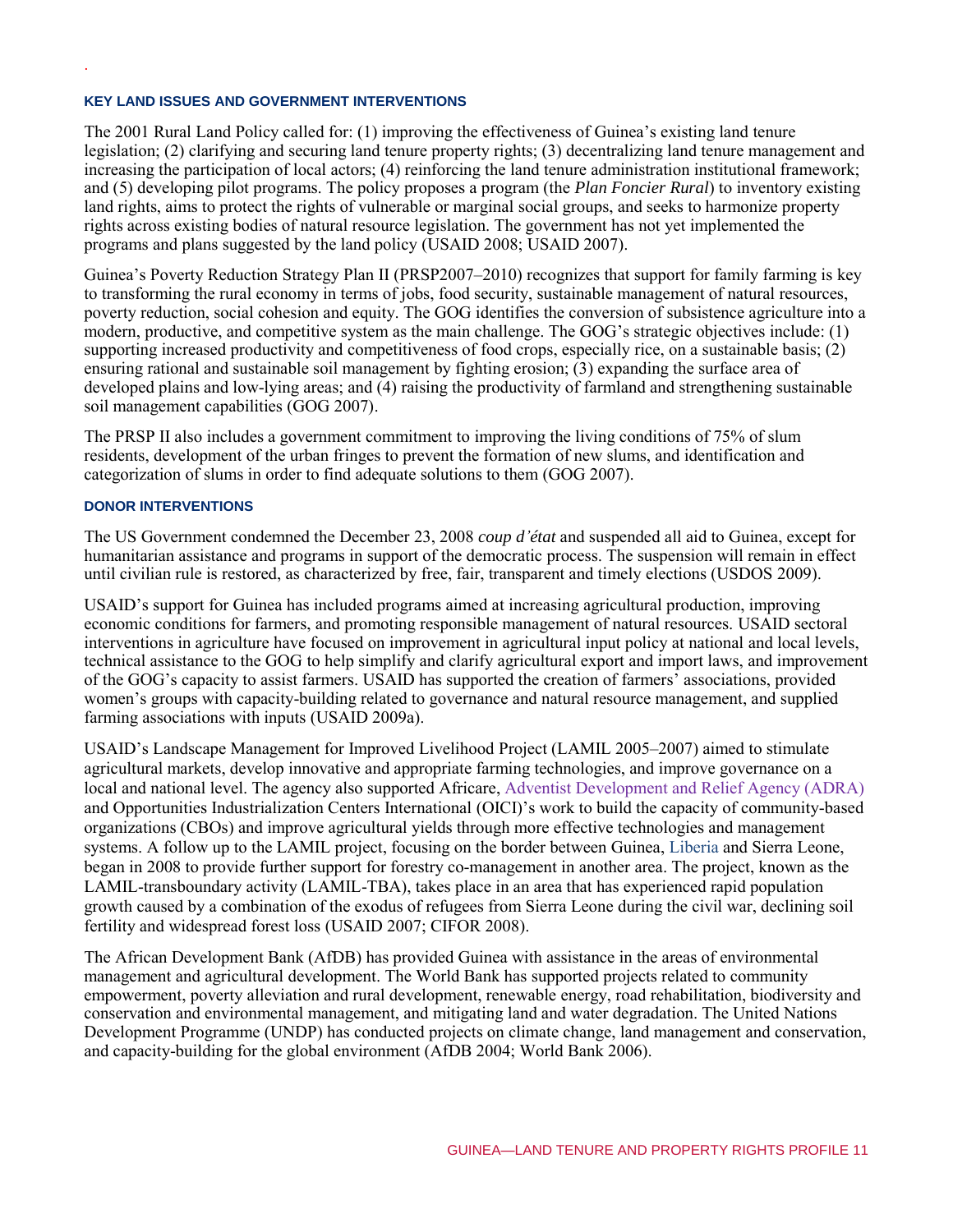#### **KEY LAND ISSUES AND GOVERNMENT INTERVENTIONS**

The 2001 Rural Land Policy called for: (1) improving the effectiveness of Guinea's existing land tenure legislation; (2) clarifying and securing land tenure property rights; (3) decentralizing land tenure management and increasing the participation of local actors; (4) reinforcing the land tenure administration institutional framework; and (5) developing pilot programs. The policy proposes a program (the *Plan Foncier Rural*) to inventory existing land rights, aims to protect the rights of vulnerable or marginal social groups, and seeks to harmonize property rights across existing bodies of natural resource legislation. The government has not yet implemented the programs and plans suggested by the land policy (USAID 2008; USAID 2007).

Guinea's Poverty Reduction Strategy Plan II (PRSP2007–2010) recognizes that support for family farming is key to transforming the rural economy in terms of jobs, food security, sustainable management of natural resources, poverty reduction, social cohesion and equity. The GOG identifies the conversion of subsistence agriculture into a modern, productive, and competitive system as the main challenge. The GOG's strategic objectives include: (1) supporting increased productivity and competitiveness of food crops, especially rice, on a sustainable basis; (2) ensuring rational and sustainable soil management by fighting erosion; (3) expanding the surface area of developed plains and low-lying areas; and (4) raising the productivity of farmland and strengthening sustainable soil management capabilities (GOG 2007).

The PRSP II also includes a government commitment to improving the living conditions of 75% of slum residents, development of the urban fringes to prevent the formation of new slums, and identification and categorization of slums in order to find adequate solutions to them (GOG 2007).

#### **DONOR INTERVENTIONS**

.

The US Government condemned the December 23, 2008 *coup d'état* and suspended all aid to Guinea, except for humanitarian assistance and programs in support of the democratic process. The suspension will remain in effect until civilian rule is restored, as characterized by free, fair, transparent and timely elections (USDOS 2009).

USAID's support for Guinea has included programs aimed at increasing agricultural production, improving economic conditions for farmers, and promoting responsible management of natural resources. USAID sectoral interventions in agriculture have focused on improvement in agricultural input policy at national and local levels, technical assistance to the GOG to help simplify and clarify agricultural export and import laws, and improvement of the GOG's capacity to assist farmers. USAID has supported the creation of farmers' associations, provided women's groups with capacity-building related to governance and natural resource management, and supplied farming associations with inputs (USAID 2009a).

USAID's Landscape Management for Improved Livelihood Project (LAMIL 2005–2007) aimed to stimulate agricultural markets, develop innovative and appropriate farming technologies, and improve governance on a local and national level. The agency also supported Africare, Adventist Development and Relief Agency (ADRA) and Opportunities Industrialization Centers International (OICI)'s work to build the capacity of community-based organizations (CBOs) and improve agricultural yields through more effective technologies and management systems. A follow up to the LAMIL project, focusing on the border between Guinea, Liberia and Sierra Leone, began in 2008 to provide further support for forestry co-management in another area. The project, known as the LAMIL-transboundary activity (LAMIL-TBA), takes place in an area that has experienced rapid population growth caused by a combination of the exodus of refugees from Sierra Leone during the civil war, declining soil fertility and widespread forest loss (USAID 2007; CIFOR 2008).

The African Development Bank (AfDB) has provided Guinea with assistance in the areas of environmental management and agricultural development. The World Bank has supported projects related to community empowerment, poverty alleviation and rural development, renewable energy, road rehabilitation, biodiversity and conservation and environmental management, and mitigating land and water degradation. The United Nations Development Programme (UNDP) has conducted projects on climate change, land management and conservation, and capacity-building for the global environment (AfDB 2004; World Bank 2006).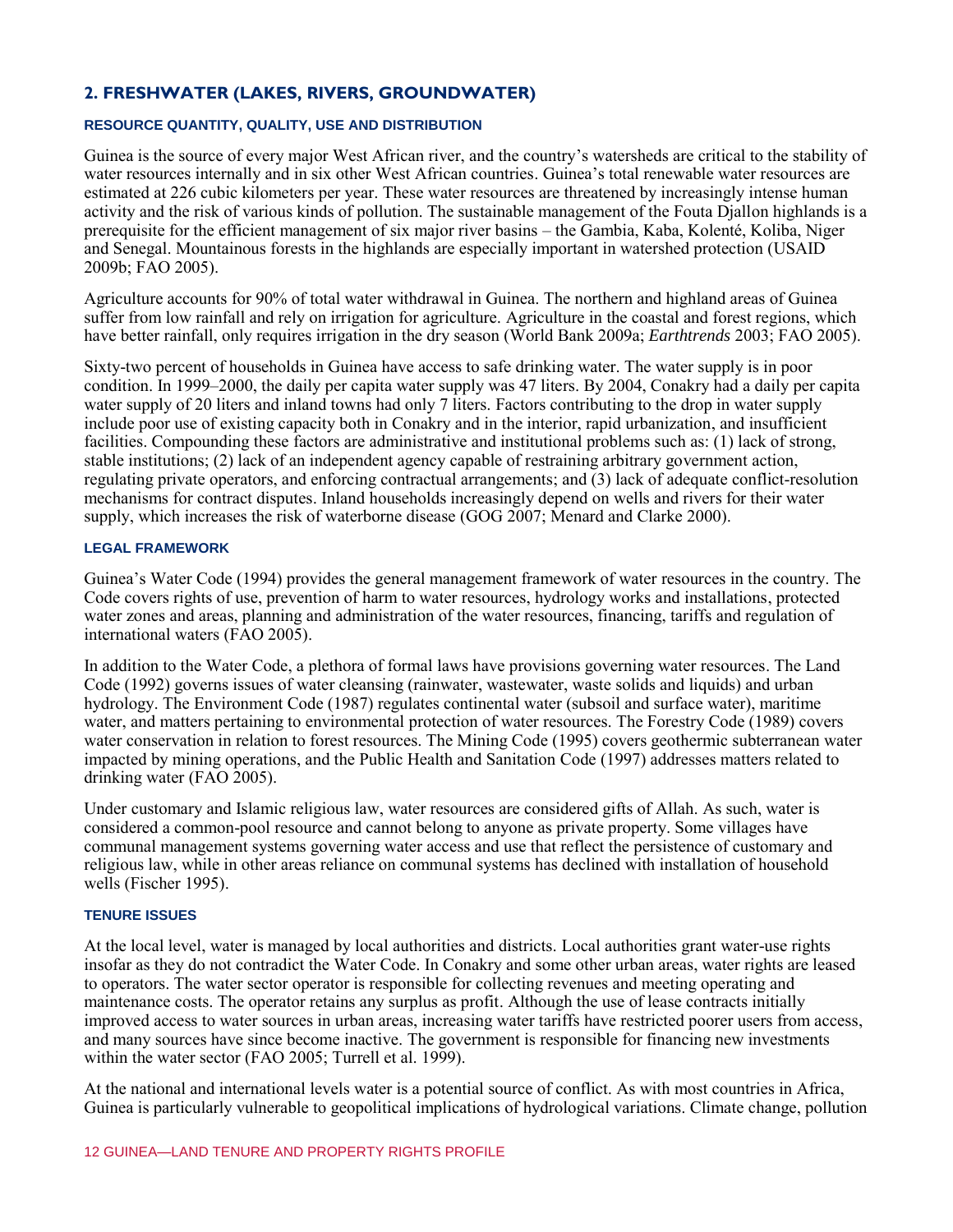## **2. FRESHWATER (LAKES, RIVERS, GROUNDWATER)**

## **RESOURCE QUANTITY, QUALITY, USE AND DISTRIBUTION**

Guinea is the source of every major West African river, and the country's watersheds are critical to the stability of water resources internally and in six other West African countries. Guinea's total renewable water resources are estimated at 226 cubic kilometers per year. These water resources are threatened by increasingly intense human activity and the risk of various kinds of pollution. The sustainable management of the Fouta Djallon highlands is a prerequisite for the efficient management of six major river basins – the Gambia, Kaba, Kolenté, Koliba, Niger and Senegal. Mountainous forests in the highlands are especially important in watershed protection (USAID 2009b; FAO 2005).

Agriculture accounts for 90% of total water withdrawal in Guinea. The northern and highland areas of Guinea suffer from low rainfall and rely on irrigation for agriculture. Agriculture in the coastal and forest regions, which have better rainfall, only requires irrigation in the dry season (World Bank 2009a; *Earthtrends* 2003; FAO 2005).

Sixty-two percent of households in Guinea have access to safe drinking water. The water supply is in poor condition. In 1999–2000, the daily per capita water supply was 47 liters. By 2004, Conakry had a daily per capita water supply of 20 liters and inland towns had only 7 liters. Factors contributing to the drop in water supply include poor use of existing capacity both in Conakry and in the interior, rapid urbanization, and insufficient facilities. Compounding these factors are administrative and institutional problems such as: (1) lack of strong, stable institutions; (2) lack of an independent agency capable of restraining arbitrary government action, regulating private operators, and enforcing contractual arrangements; and (3) lack of adequate conflict-resolution mechanisms for contract disputes. Inland households increasingly depend on wells and rivers for their water supply, which increases the risk of waterborne disease (GOG 2007; Menard and Clarke 2000).

## **LEGAL FRAMEWORK**

Guinea's Water Code (1994) provides the general management framework of water resources in the country. The Code covers rights of use, prevention of harm to water resources, hydrology works and installations, protected water zones and areas, planning and administration of the water resources, financing, tariffs and regulation of international waters (FAO 2005).

In addition to the Water Code, a plethora of formal laws have provisions governing water resources. The Land Code (1992) governs issues of water cleansing (rainwater, wastewater, waste solids and liquids) and urban hydrology. The Environment Code (1987) regulates continental water (subsoil and surface water), maritime water, and matters pertaining to environmental protection of water resources. The Forestry Code (1989) covers water conservation in relation to forest resources. The Mining Code (1995) covers geothermic subterranean water impacted by mining operations, and the Public Health and Sanitation Code (1997) addresses matters related to drinking water (FAO 2005).

Under customary and Islamic religious law, water resources are considered gifts of Allah. As such, water is considered a common-pool resource and cannot belong to anyone as private property. Some villages have communal management systems governing water access and use that reflect the persistence of customary and religious law, while in other areas reliance on communal systems has declined with installation of household wells (Fischer 1995).

#### **TENURE ISSUES**

At the local level, water is managed by local authorities and districts. Local authorities grant water-use rights insofar as they do not contradict the Water Code. In Conakry and some other urban areas, water rights are leased to operators. The water sector operator is responsible for collecting revenues and meeting operating and maintenance costs. The operator retains any surplus as profit. Although the use of lease contracts initially improved access to water sources in urban areas, increasing water tariffs have restricted poorer users from access, and many sources have since become inactive. The government is responsible for financing new investments within the water sector (FAO 2005; Turrell et al. 1999).

At the national and international levels water is a potential source of conflict. As with most countries in Africa, Guinea is particularly vulnerable to geopolitical implications of hydrological variations. Climate change, pollution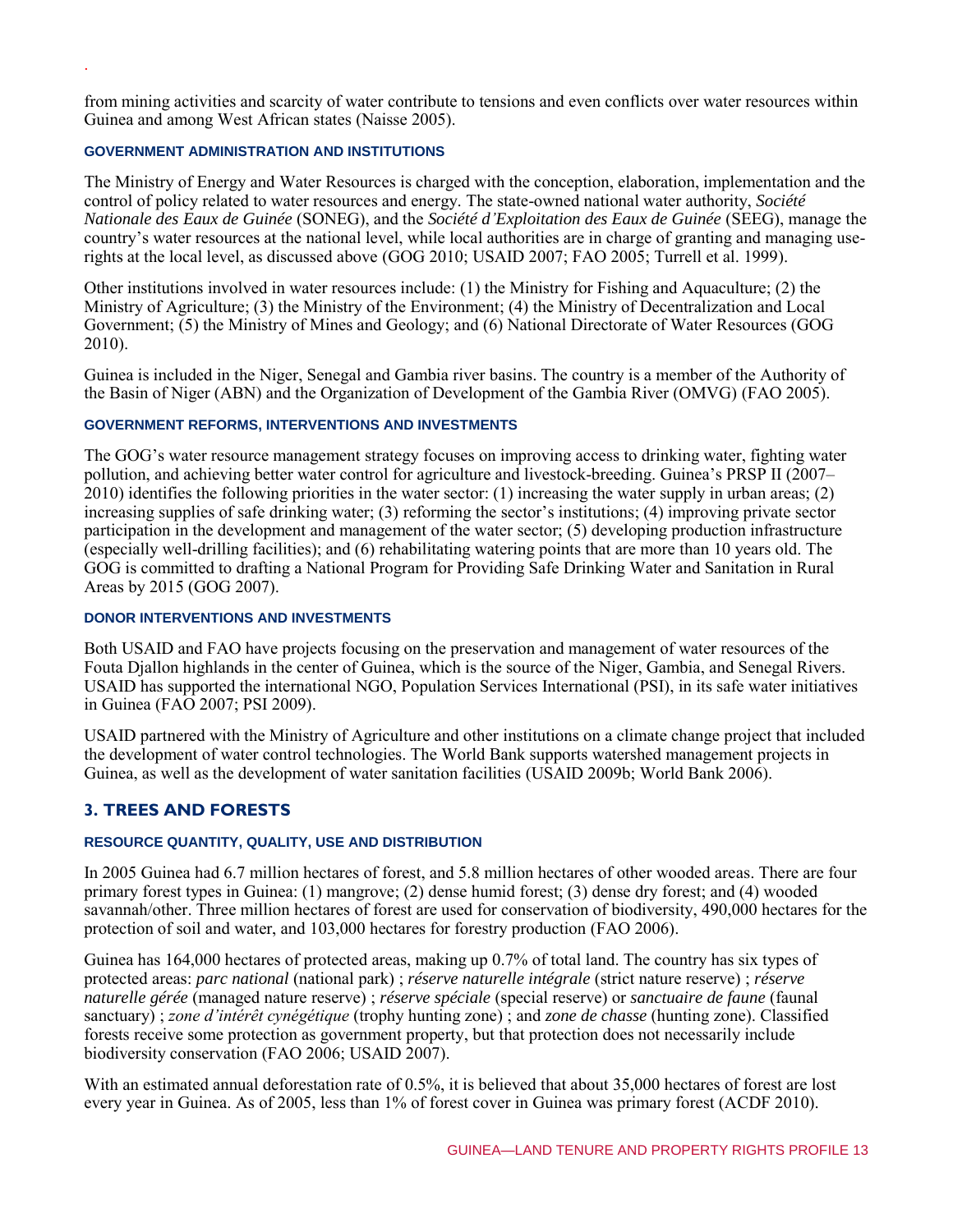from mining activities and scarcity of water contribute to tensions and even conflicts over water resources within Guinea and among West African states (Naisse 2005).

#### **GOVERNMENT ADMINISTRATION AND INSTITUTIONS**

.

The Ministry of Energy and Water Resources is charged with the conception, elaboration, implementation and the control of policy related to water resources and energy. The state-owned national water authority, *Société Nationale des Eaux de Guinée* (SONEG), and the *Société d'Exploitation des Eaux de Guinée* (SEEG), manage the country's water resources at the national level, while local authorities are in charge of granting and managing userights at the local level, as discussed above (GOG 2010; USAID 2007; FAO 2005; Turrell et al. 1999).

Other institutions involved in water resources include: (1) the Ministry for Fishing and Aquaculture; (2) the Ministry of Agriculture; (3) the Ministry of the Environment; (4) the Ministry of Decentralization and Local Government; (5) the Ministry of Mines and Geology; and (6) National Directorate of Water Resources (GOG 2010).

Guinea is included in the Niger, Senegal and Gambia river basins. The country is a member of the Authority of the Basin of Niger (ABN) and the Organization of Development of the Gambia River (OMVG) (FAO 2005).

#### **GOVERNMENT REFORMS, INTERVENTIONS AND INVESTMENTS**

The GOG's water resource management strategy focuses on improving access to drinking water, fighting water pollution, and achieving better water control for agriculture and livestock-breeding. Guinea's PRSP II (2007– 2010) identifies the following priorities in the water sector: (1) increasing the water supply in urban areas; (2) increasing supplies of safe drinking water; (3) reforming the sector's institutions; (4) improving private sector participation in the development and management of the water sector; (5) developing production infrastructure (especially well-drilling facilities); and (6) rehabilitating watering points that are more than 10 years old. The GOG is committed to drafting a National Program for Providing Safe Drinking Water and Sanitation in Rural Areas by 2015 (GOG 2007).

## **DONOR INTERVENTIONS AND INVESTMENTS**

Both USAID and FAO have projects focusing on the preservation and management of water resources of the Fouta Djallon highlands in the center of Guinea, which is the source of the Niger, Gambia, and Senegal Rivers. USAID has supported the international NGO, Population Services International (PSI), in its safe water initiatives in Guinea (FAO 2007; PSI 2009).

USAID partnered with the Ministry of Agriculture and other institutions on a climate change project that included the development of water control technologies. The World Bank supports watershed management projects in Guinea, as well as the development of water sanitation facilities (USAID 2009b; World Bank 2006).

## **3. TREES AND FORESTS**

## **RESOURCE QUANTITY, QUALITY, USE AND DISTRIBUTION**

In 2005 Guinea had 6.7 million hectares of forest, and 5.8 million hectares of other wooded areas. There are four primary forest types in Guinea: (1) mangrove; (2) dense humid forest; (3) dense dry forest; and (4) wooded savannah/other. Three million hectares of forest are used for conservation of biodiversity, 490,000 hectares for the protection of soil and water, and 103,000 hectares for forestry production (FAO 2006).

Guinea has 164,000 hectares of protected areas, making up 0.7% of total land. The country has six types of protected areas: *parc national* (national park) ; *réserve naturelle intégrale* (strict nature reserve) ; *réserve naturelle gérée* (managed nature reserve) ; *réserve spéciale* (special reserve) or *sanctuaire de faune* (faunal sanctuary) ; *zone d'intérêt cynégétique* (trophy hunting zone) ; and *zone de chasse* (hunting zone). Classified forests receive some protection as government property, but that protection does not necessarily include biodiversity conservation (FAO 2006; USAID 2007).

With an estimated annual deforestation rate of 0.5%, it is believed that about 35,000 hectares of forest are lost every year in Guinea. As of 2005, less than 1% of forest cover in Guinea was primary forest (ACDF 2010).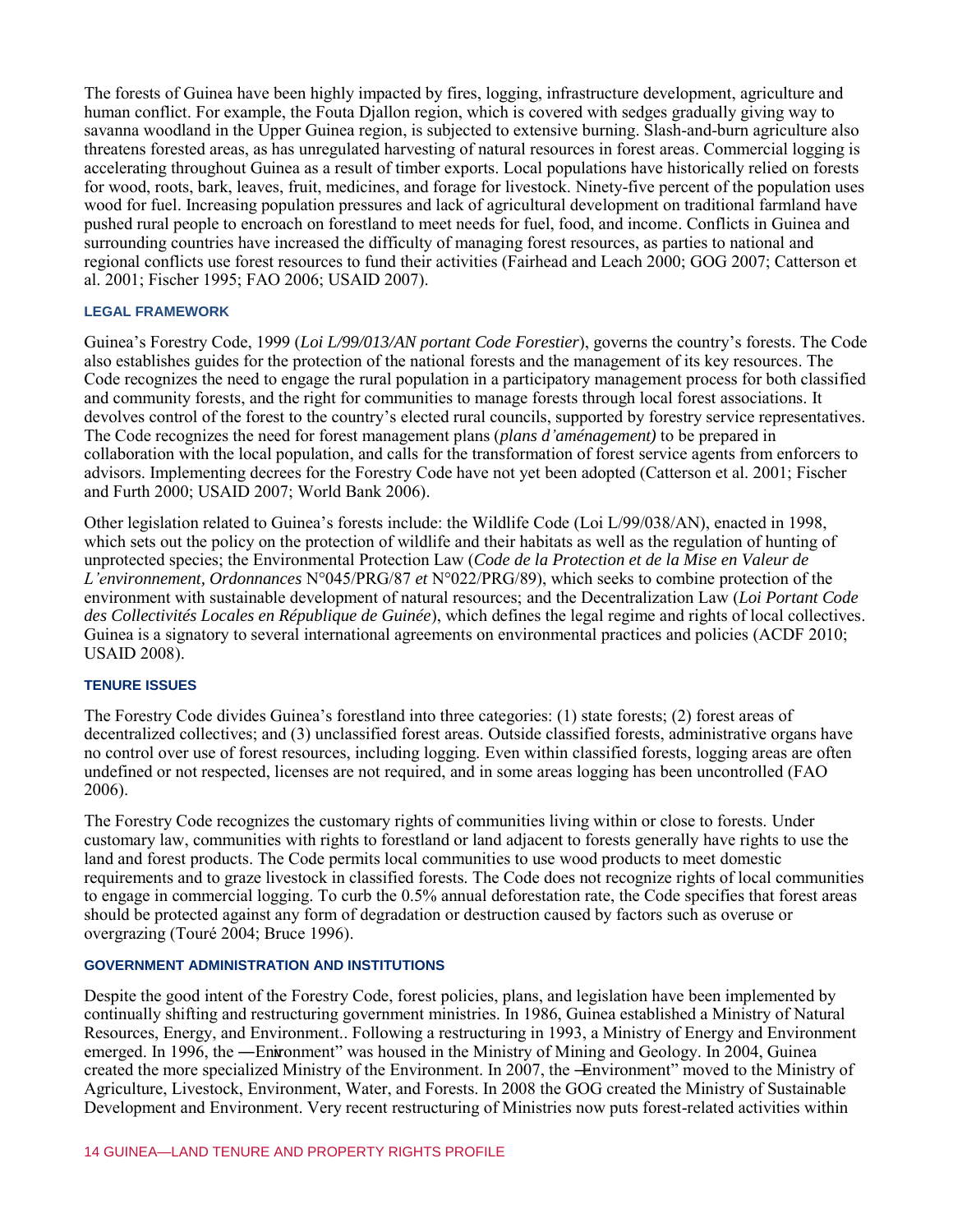The forests of Guinea have been highly impacted by fires, logging, infrastructure development, agriculture and human conflict. For example, the Fouta Djallon region, which is covered with sedges gradually giving way to savanna woodland in the Upper Guinea region, is subjected to extensive burning. Slash-and-burn agriculture also threatens forested areas, as has unregulated harvesting of natural resources in forest areas. Commercial logging is accelerating throughout Guinea as a result of timber exports. Local populations have historically relied on forests for wood, roots, bark, leaves, fruit, medicines, and forage for livestock. Ninety-five percent of the population uses wood for fuel. Increasing population pressures and lack of agricultural development on traditional farmland have pushed rural people to encroach on forestland to meet needs for fuel, food, and income. Conflicts in Guinea and surrounding countries have increased the difficulty of managing forest resources, as parties to national and regional conflicts use forest resources to fund their activities (Fairhead and Leach 2000; GOG 2007; Catterson et al. 2001; Fischer 1995; FAO 2006; USAID 2007).

#### **LEGAL FRAMEWORK**

Guinea's Forestry Code, 1999 (*Loi L/99/013/AN portant Code Forestier*), governs the country's forests. The Code also establishes guides for the protection of the national forests and the management of its key resources. The Code recognizes the need to engage the rural population in a participatory management process for both classified and community forests, and the right for communities to manage forests through local forest associations. It devolves control of the forest to the country's elected rural councils, supported by forestry service representatives. The Code recognizes the need for forest management plans (*plans d'aménagement)* to be prepared in collaboration with the local population, and calls for the transformation of forest service agents from enforcers to advisors. Implementing decrees for the Forestry Code have not yet been adopted (Catterson et al. 2001; Fischer and Furth 2000; USAID 2007; World Bank 2006).

Other legislation related to Guinea's forests include: the Wildlife Code (Loi L/99/038/AN), enacted in 1998, which sets out the policy on the protection of wildlife and their habitats as well as the regulation of hunting of unprotected species; the Environmental Protection Law (*Code de la Protection et de la Mise en Valeur de L'environnement, Ordonnances* N°045/PRG/87 *et* N°022/PRG/89), which seeks to combine protection of the environment with sustainable development of natural resources; and the Decentralization Law (*Loi Portant Code des Collectivités Locales en République de Guinée*), which defines the legal regime and rights of local collectives. Guinea is a signatory to several international agreements on environmental practices and policies (ACDF 2010; USAID 2008).

## **TENURE ISSUES**

The Forestry Code divides Guinea's forestland into three categories: (1) state forests; (2) forest areas of decentralized collectives; and (3) unclassified forest areas. Outside classified forests, administrative organs have no control over use of forest resources, including logging. Even within classified forests, logging areas are often undefined or not respected, licenses are not required, and in some areas logging has been uncontrolled (FAO 2006).

The Forestry Code recognizes the customary rights of communities living within or close to forests. Under customary law, communities with rights to forestland or land adjacent to forests generally have rights to use the land and forest products. The Code permits local communities to use wood products to meet domestic requirements and to graze livestock in classified forests. The Code does not recognize rights of local communities to engage in commercial logging. To curb the 0.5% annual deforestation rate, the Code specifies that forest areas should be protected against any form of degradation or destruction caused by factors such as overuse or overgrazing (Touré 2004; Bruce 1996).

#### **GOVERNMENT ADMINISTRATION AND INSTITUTIONS**

Despite the good intent of the Forestry Code, forest policies, plans, and legislation have been implemented by continually shifting and restructuring government ministries. In 1986, Guinea established a Ministry of Natural Resources, Energy, and Environment.. Following a restructuring in 1993, a Ministry of Energy and Environment emerged. In 1996, the —Enwonment" was housed in the Ministry of Mining and Geology. In 2004, Guinea created the more specialized Ministry of the Environment. In 2007, the -Environment" moved to the Ministry of Agriculture, Livestock, Environment, Water, and Forests. In 2008 the GOG created the Ministry of Sustainable Development and Environment. Very recent restructuring of Ministries now puts forest-related activities within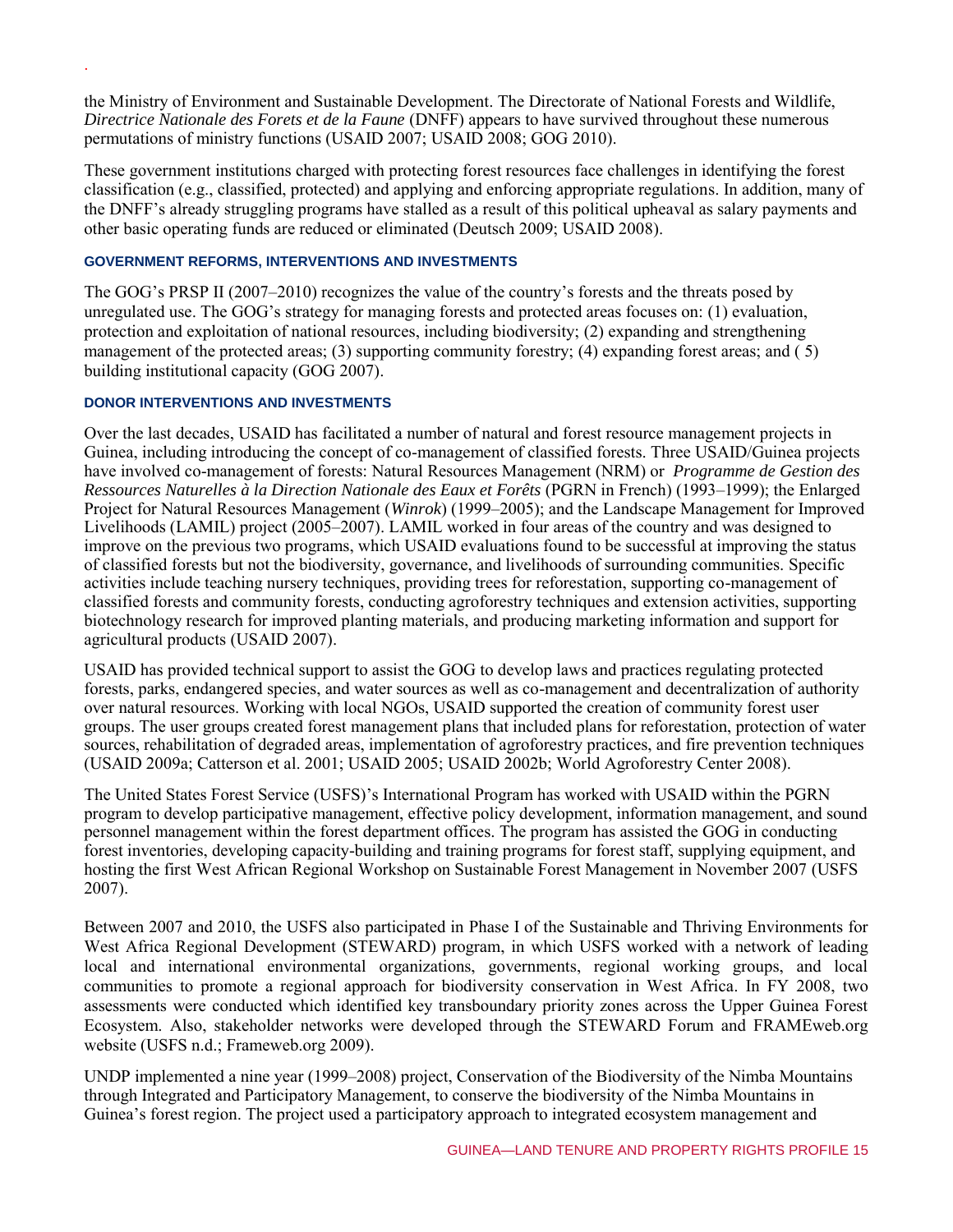the Ministry of Environment and Sustainable Development. The Directorate of National Forests and Wildlife, *Directrice Nationale des Forets et de la Faune* (DNFF) appears to have survived throughout these numerous permutations of ministry functions (USAID 2007; USAID 2008; GOG 2010).

These government institutions charged with protecting forest resources face challenges in identifying the forest classification (e.g., classified, protected) and applying and enforcing appropriate regulations. In addition, many of the DNFF's already struggling programs have stalled as a result of this political upheaval as salary payments and other basic operating funds are reduced or eliminated (Deutsch 2009; USAID 2008).

## **GOVERNMENT REFORMS, INTERVENTIONS AND INVESTMENTS**

The GOG's PRSP II (2007–2010) recognizes the value of the country's forests and the threats posed by unregulated use. The GOG's strategy for managing forests and protected areas focuses on: (1) evaluation, protection and exploitation of national resources, including biodiversity; (2) expanding and strengthening management of the protected areas; (3) supporting community forestry; (4) expanding forest areas; and (5) building institutional capacity (GOG 2007).

## **DONOR INTERVENTIONS AND INVESTMENTS**

.

Over the last decades, USAID has facilitated a number of natural and forest resource management projects in Guinea, including introducing the concept of co-management of classified forests. Three USAID/Guinea projects have involved co-management of forests: Natural Resources Management (NRM) or *Programme de Gestion des Ressources Naturelles à la Direction Nationale des Eaux et Forêts* (PGRN in French) (1993–1999); the Enlarged Project for Natural Resources Management (*Winrok*) (1999–2005); and the Landscape Management for Improved Livelihoods (LAMIL) project (2005–2007). LAMIL worked in four areas of the country and was designed to improve on the previous two programs, which USAID evaluations found to be successful at improving the status of classified forests but not the biodiversity, governance, and livelihoods of surrounding communities. Specific activities include teaching nursery techniques, providing trees for reforestation, supporting co-management of classified forests and community forests, conducting agroforestry techniques and extension activities, supporting biotechnology research for improved planting materials, and producing marketing information and support for agricultural products (USAID 2007).

USAID has provided technical support to assist the GOG to develop laws and practices regulating protected forests, parks, endangered species, and water sources as well as co-management and decentralization of authority over natural resources. Working with local NGOs, USAID supported the creation of community forest user groups. The user groups created forest management plans that included plans for reforestation, protection of water sources, rehabilitation of degraded areas, implementation of agroforestry practices, and fire prevention techniques (USAID 2009a; Catterson et al. 2001; USAID 2005; USAID 2002b; World Agroforestry Center 2008).

The United States Forest Service (USFS)'s International Program has worked with USAID within the PGRN program to develop participative management, effective policy development, information management, and sound personnel management within the forest department offices. The program has assisted the GOG in conducting forest inventories, developing capacity-building and training programs for forest staff, supplying equipment, and hosting the first West African Regional Workshop on Sustainable Forest Management in November 2007 (USFS 2007).

Between 2007 and 2010, the USFS also participated in Phase I of the Sustainable and Thriving Environments for West Africa Regional Development (STEWARD) program, in which USFS worked with a network of leading local and international environmental organizations, governments, regional working groups, and local communities to promote a regional approach for biodiversity conservation in West Africa. In FY 2008, two assessments were conducted which identified key transboundary priority zones across the Upper Guinea Forest Ecosystem. Also, stakeholder networks were developed through the STEWARD Forum and FRAMEweb.org website (USFS n.d.; Frameweb.org 2009).

UNDP implemented a nine year (1999–2008) project, Conservation of the Biodiversity of the Nimba Mountains through Integrated and Participatory Management, to conserve the biodiversity of the Nimba Mountains in Guinea's forest region. The project used a participatory approach to integrated ecosystem management and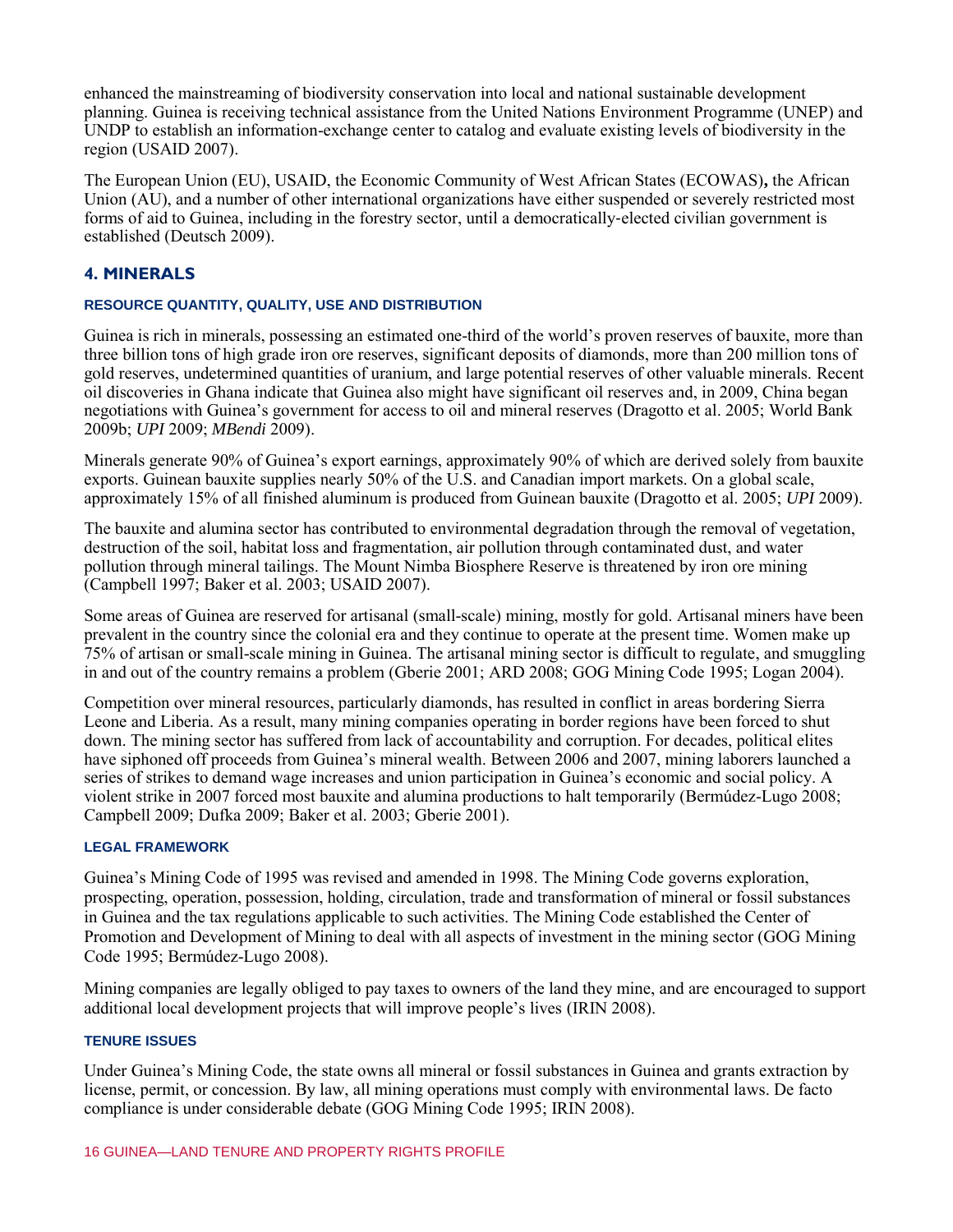enhanced the mainstreaming of biodiversity conservation into local and national sustainable development planning. Guinea is receiving technical assistance from the United Nations Environment Programme (UNEP) and UNDP to establish an information-exchange center to catalog and evaluate existing levels of biodiversity in the region (USAID 2007).

The European Union (EU), USAID, the Economic Community of West African States (ECOWAS)**,** the African Union (AU), and a number of other international organizations have either suspended or severely restricted most forms of aid to Guinea, including in the forestry sector, until a democratically-elected civilian government is established (Deutsch 2009).

## **4. MINERALS**

## **RESOURCE QUANTITY, QUALITY, USE AND DISTRIBUTION**

Guinea is rich in minerals, possessing an estimated one-third of the world's proven reserves of bauxite, more than three billion tons of high grade iron ore reserves, significant deposits of diamonds, more than 200 million tons of gold reserves, undetermined quantities of uranium, and large potential reserves of other valuable minerals. Recent oil discoveries in Ghana indicate that Guinea also might have significant oil reserves and, in 2009, China began negotiations with Guinea's government for access to oil and mineral reserves (Dragotto et al. 2005; World Bank 2009b; *UPI* 2009; *MBendi* 2009).

Minerals generate 90% of Guinea's export earnings, approximately 90% of which are derived solely from bauxite exports. Guinean bauxite supplies nearly 50% of the U.S. and Canadian import markets. On a global scale, approximately 15% of all finished aluminum is produced from Guinean bauxite (Dragotto et al. 2005; *UPI* 2009).

The bauxite and alumina sector has contributed to environmental degradation through the removal of vegetation, destruction of the soil, habitat loss and fragmentation, air pollution through contaminated dust, and water pollution through mineral tailings. The Mount Nimba Biosphere Reserve is threatened by iron ore mining (Campbell 1997; Baker et al. 2003; USAID 2007).

Some areas of Guinea are reserved for artisanal (small-scale) mining, mostly for gold. Artisanal miners have been prevalent in the country since the colonial era and they continue to operate at the present time. Women make up 75% of artisan or small-scale mining in Guinea. The artisanal mining sector is difficult to regulate, and smuggling in and out of the country remains a problem (Gberie 2001; ARD 2008; GOG Mining Code 1995; Logan 2004).

Competition over mineral resources, particularly diamonds, has resulted in conflict in areas bordering Sierra Leone and Liberia. As a result, many mining companies operating in border regions have been forced to shut down. The mining sector has suffered from lack of accountability and corruption. For decades, political elites have siphoned off proceeds from Guinea's mineral wealth. Between 2006 and 2007, mining laborers launched a series of strikes to demand wage increases and union participation in Guinea's economic and social policy. A violent strike in 2007 forced most bauxite and alumina productions to halt temporarily (Bermúdez-Lugo 2008; Campbell 2009; Dufka 2009; Baker et al. 2003; Gberie 2001).

#### **LEGAL FRAMEWORK**

Guinea's Mining Code of 1995 was revised and amended in 1998. The Mining Code governs exploration, prospecting, operation, possession, holding, circulation, trade and transformation of mineral or fossil substances in Guinea and the tax regulations applicable to such activities. The Mining Code established the Center of Promotion and Development of Mining to deal with all aspects of investment in the mining sector (GOG Mining Code 1995; Bermúdez-Lugo 2008).

Mining companies are legally obliged to pay taxes to owners of the land they mine, and are encouraged to support additional local development projects that will improve people's lives (IRIN 2008).

#### **TENURE ISSUES**

Under Guinea's Mining Code, the state owns all mineral or fossil substances in Guinea and grants extraction by license, permit, or concession. By law, all mining operations must comply with environmental laws. De facto compliance is under considerable debate (GOG Mining Code 1995; IRIN 2008).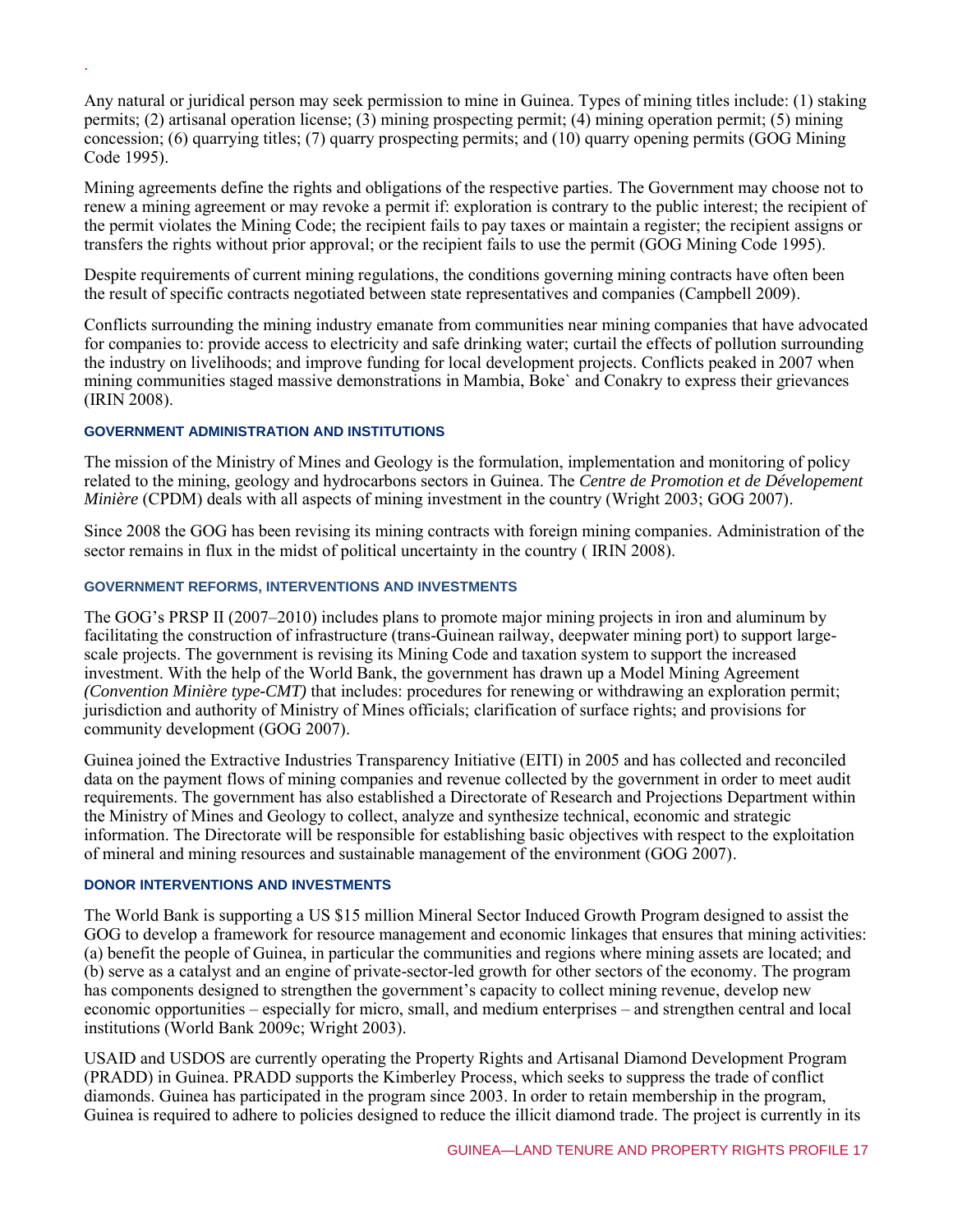Any natural or juridical person may seek permission to mine in Guinea. Types of mining titles include: (1) staking permits; (2) artisanal operation license; (3) mining prospecting permit; (4) mining operation permit; (5) mining concession; (6) quarrying titles; (7) quarry prospecting permits; and (10) quarry opening permits (GOG Mining Code 1995).

Mining agreements define the rights and obligations of the respective parties. The Government may choose not to renew a mining agreement or may revoke a permit if: exploration is contrary to the public interest; the recipient of the permit violates the Mining Code; the recipient fails to pay taxes or maintain a register; the recipient assigns or transfers the rights without prior approval; or the recipient fails to use the permit (GOG Mining Code 1995).

Despite requirements of current mining regulations, the conditions governing mining contracts have often been the result of specific contracts negotiated between state representatives and companies (Campbell 2009).

Conflicts surrounding the mining industry emanate from communities near mining companies that have advocated for companies to: provide access to electricity and safe drinking water; curtail the effects of pollution surrounding the industry on livelihoods; and improve funding for local development projects. Conflicts peaked in 2007 when mining communities staged massive demonstrations in Mambia, Boke` and Conakry to express their grievances (IRIN 2008).

## **GOVERNMENT ADMINISTRATION AND INSTITUTIONS**

.

The mission of the Ministry of Mines and Geology is the formulation, implementation and monitoring of policy related to the mining, geology and hydrocarbons sectors in Guinea. The *Centre de Promotion et de Dévelopement Minière* (CPDM) deals with all aspects of mining investment in the country (Wright 2003; GOG 2007).

Since 2008 the GOG has been revising its mining contracts with foreign mining companies. Administration of the sector remains in flux in the midst of political uncertainty in the country (IRIN 2008).

## **GOVERNMENT REFORMS, INTERVENTIONS AND INVESTMENTS**

The GOG's PRSP II (2007–2010) includes plans to promote major mining projects in iron and aluminum by facilitating the construction of infrastructure (trans-Guinean railway, deepwater mining port) to support largescale projects. The government is revising its Mining Code and taxation system to support the increased investment. With the help of the World Bank, the government has drawn up a Model Mining Agreement *(Convention Minière type-CMT)* that includes: procedures for renewing or withdrawing an exploration permit; jurisdiction and authority of Ministry of Mines officials; clarification of surface rights; and provisions for community development (GOG 2007).

Guinea joined the Extractive Industries Transparency Initiative (EITI) in 2005 and has collected and reconciled data on the payment flows of mining companies and revenue collected by the government in order to meet audit requirements. The government has also established a Directorate of Research and Projections Department within the Ministry of Mines and Geology to collect, analyze and synthesize technical, economic and strategic information. The Directorate will be responsible for establishing basic objectives with respect to the exploitation of mineral and mining resources and sustainable management of the environment (GOG 2007).

#### **DONOR INTERVENTIONS AND INVESTMENTS**

The World Bank is supporting a US \$15 million Mineral Sector Induced Growth Program designed to assist the GOG to develop a framework for resource management and economic linkages that ensures that mining activities: (a) benefit the people of Guinea, in particular the communities and regions where mining assets are located; and (b) serve as a catalyst and an engine of private-sector-led growth for other sectors of the economy. The program has components designed to strengthen the government's capacity to collect mining revenue, develop new economic opportunities – especially for micro, small, and medium enterprises – and strengthen central and local institutions (World Bank 2009c; Wright 2003).

USAID and USDOS are currently operating the Property Rights and Artisanal Diamond Development Program (PRADD) in Guinea. PRADD supports the Kimberley Process, which seeks to suppress the trade of conflict diamonds. Guinea has participated in the program since 2003. In order to retain membership in the program, Guinea is required to adhere to policies designed to reduce the illicit diamond trade. The project is currently in its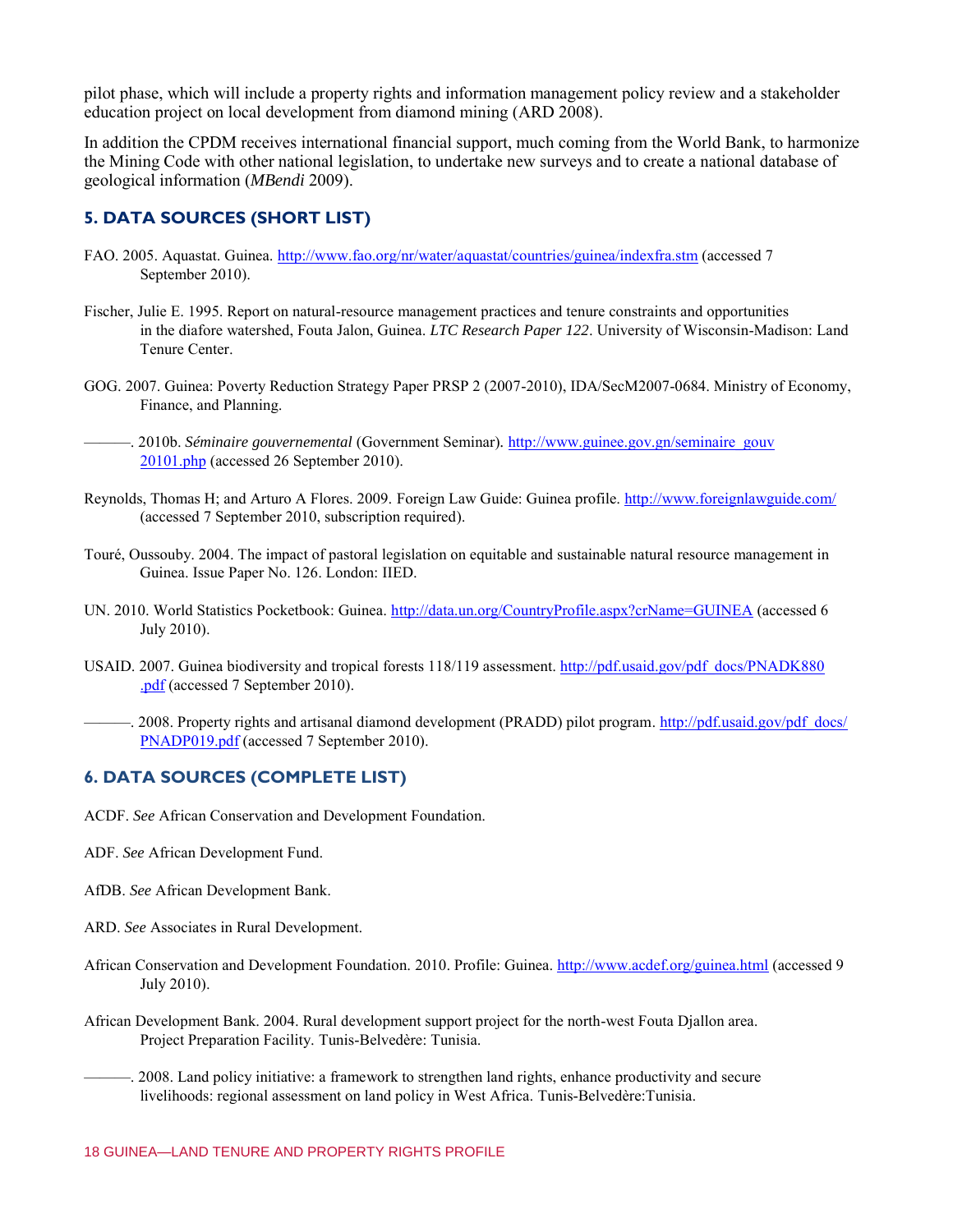pilot phase, which will include a property rights and information management policy review and a stakeholder education project on local development from diamond mining (ARD 2008).

In addition the CPDM receives international financial support, much coming from the World Bank, to harmonize the Mining Code with other national legislation, to undertake new surveys and to create a national database of geological information (*MBendi* 2009).

## **5. DATA SOURCES (SHORT LIST)**

- FAO. 2005. Aquastat. Guinea.<http://www.fao.org/nr/water/aquastat/countries/guinea/indexfra.stm>(accessed 7 September 2010).
- Fischer, Julie E. 1995. Report on natural-resource management practices and tenure constraints and opportunities in the diafore watershed, Fouta Jalon, Guinea. *LTC Research Paper 122*. University of Wisconsin-Madison: Land Tenure Center.
- GOG. 2007. Guinea: Poverty Reduction Strategy Paper PRSP 2 (2007-2010), IDA/SecM2007-0684. Ministry of Economy, Finance, and Planning.

- Reynolds, Thomas H; and Arturo A Flores. 2009. Foreign Law Guide: Guinea profile.<http://www.foreignlawguide.com/> (accessed 7 September 2010, subscription required).
- Touré, Oussouby. 2004. The impact of pastoral legislation on equitable and sustainable natural resource management in Guinea. Issue Paper No. 126. London: IIED.
- UN. 2010. World Statistics Pocketbook: Guinea.<http://data.un.org/CountryProfile.aspx?crName=GUINEA>(accessed 6 July 2010).
- USAID. 2007. Guinea biodiversity and tropical forests 118/119 assessment. [http://pdf.usaid.gov/pdf\\_docs/PNADK880](http://pdf.usaid.gov/pdf_docs/PNADK880.pdf) [.pdf](http://pdf.usaid.gov/pdf_docs/PNADK880.pdf) (accessed 7 September 2010).
- ——. 2008. Property rights and artisanal diamond development (PRADD) pilot program. [http://pdf.usaid.gov/pdf\\_docs/](http://pdf.usaid.gov/pdf_docs/PNADP019.pdf) [PNADP019.pdf](http://pdf.usaid.gov/pdf_docs/PNADP019.pdf) (accessed 7 September 2010).

## **6. DATA SOURCES (COMPLETE LIST)**

ACDF. *See* African Conservation and Development Foundation.

- ADF. *See* African Development Fund.
- AfDB. *See* African Development Bank.
- ARD. *See* Associates in Rural Development.
- African Conservation and Development Foundation. 2010. Profile: Guinea.<http://www.acdef.org/guinea.html>(accessed 9 July 2010).
- African Development Bank. 2004. Rural development support project for the north-west Fouta Djallon area. Project Preparation Facility. Tunis-Belvedère: Tunisia.
	- ———. 2008. Land policy initiative: a framework to strengthen land rights, enhance productivity and secure livelihoods: regional assessment on land policy in West Africa. Tunis-Belvedère:Tunisia.

<sup>———. 2010</sup>b. *Séminaire gouvernemental* (Government Seminar)*.* [http://www.guinee.gov.gn/seminaire\\_gouv](http://www.guinee.gov.gn/seminaire_gouv20101.php) [20101.php](http://www.guinee.gov.gn/seminaire_gouv20101.php) (accessed 26 September 2010).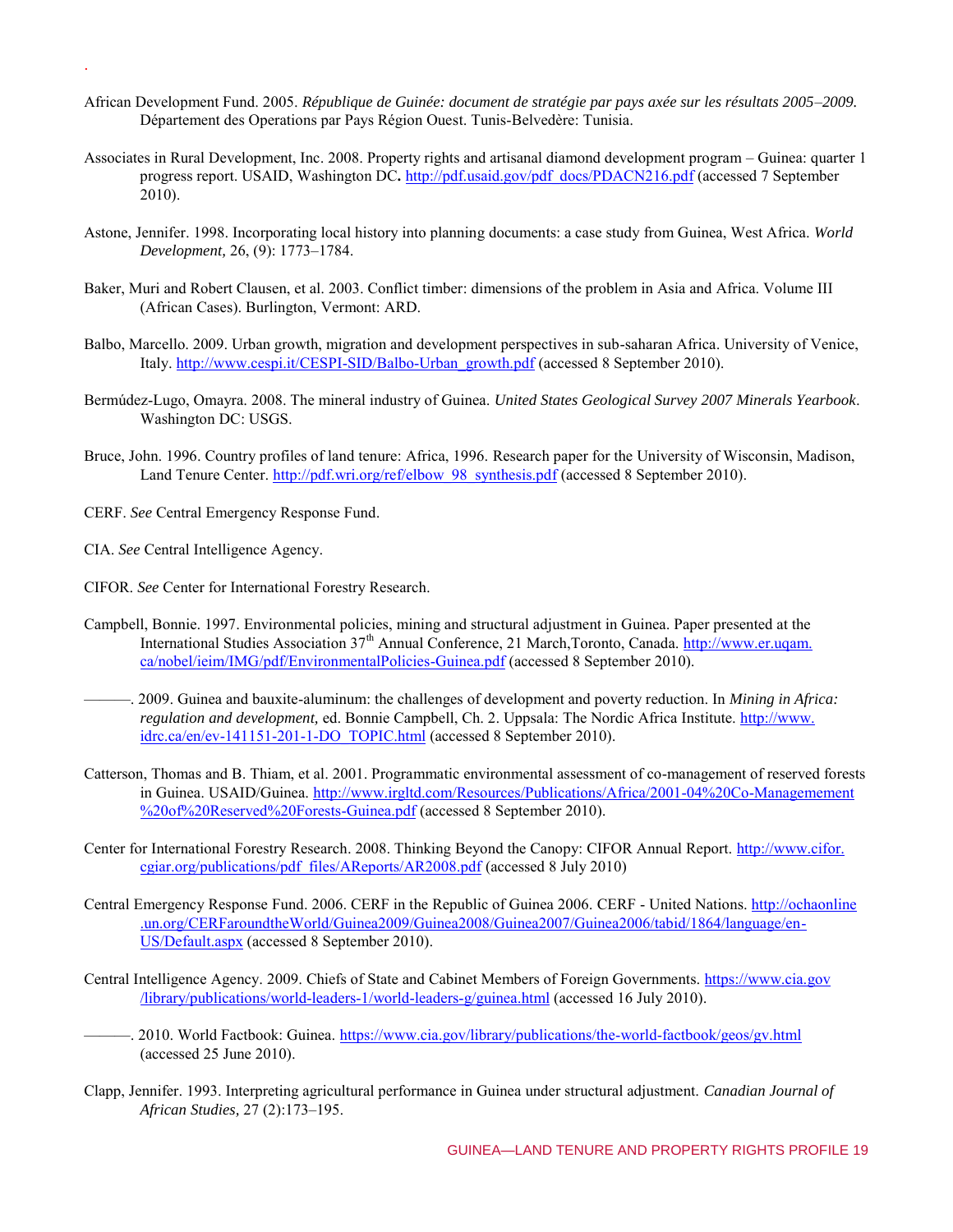- African Development Fund. 2005. *République de Guinée: document de stratégie par pays axée sur les résultats 2005*–*2009.* Département des Operations par Pays Région Ouest. Tunis-Belvedère: Tunisia.
- Associates in Rural Development, Inc. 2008. Property rights and artisanal diamond development program Guinea: quarter 1 progress report. USAID, Washington DC**.** [http://pdf.usaid.gov/pdf\\_docs/PDACN216.pdf](http://pdf.usaid.gov/pdf_docs/PDACN216.pdf) (accessed 7 September 2010).
- Astone, Jennifer. 1998. Incorporating local history into planning documents: a case study from Guinea, West Africa. *World Development,* 26, (9): 1773–1784.
- Baker, Muri and Robert Clausen, et al. 2003. Conflict timber: dimensions of the problem in Asia and Africa. Volume III (African Cases). Burlington, Vermont: ARD.
- Balbo, Marcello. 2009. Urban growth, migration and development perspectives in sub-saharan Africa. University of Venice, Italy. [http://www.cespi.it/CESPI-SID/Balbo-Urban\\_growth.pdf](http://www.cespi.it/CESPI-SID/Balbo-Urban_growth.pdf) (accessed 8 September 2010).
- Bermúdez-Lugo, Omayra. 2008. The mineral industry of Guinea. *United States Geological Survey 2007 Minerals Yearbook*. Washington DC: USGS.
- Bruce, John. 1996. Country profiles of land tenure: Africa, 1996. Research paper for the University of Wisconsin, Madison, Land Tenure Center. http://pdf.wri.org/ref/elbow 98 synthesis.pdf (accessed 8 September 2010).
- CERF. *See* Central Emergency Response Fund.
- CIA. *See* Central Intelligence Agency.

.

- CIFOR. *See* Center for International Forestry Research.
- Campbell, Bonnie. 1997. Environmental policies, mining and structural adjustment in Guinea. Paper presented at the International Studies Association 37<sup>th</sup> Annual Conference, 21 March, Toronto, Canada. [http://www.er.uqam.](http://www.er.uqam.ca/nobel/ieim/IMG/pdf/EnvironmentalPolicies-Guinea.pdf) [ca/nobel/ieim/IMG/pdf/EnvironmentalPolicies-Guinea.pdf](http://www.er.uqam.ca/nobel/ieim/IMG/pdf/EnvironmentalPolicies-Guinea.pdf) (accessed 8 September 2010).
- ———. 2009. Guinea and bauxite-aluminum: the challenges of development and poverty reduction. In *Mining in Africa: regulation and development,* ed. Bonnie Campbell, Ch. 2. Uppsala: The Nordic Africa Institute. [http://www.](http://www.idrc.ca/en/ev-141151-201-1-DO_TOPIC.html) [idrc.ca/en/ev-141151-201-1-DO\\_TOPIC.html](http://www.idrc.ca/en/ev-141151-201-1-DO_TOPIC.html) (accessed 8 September 2010).
- Catterson, Thomas and B. Thiam, et al. 2001. Programmatic environmental assessment of co-management of reserved forests in Guinea. USAID/Guinea. [http://www.irgltd.com/Resources/Publications/Africa/2001-04%20Co-Managemement](http://www.irgltd.com/Resources/Publications/Africa/2001-04%20Co-Managemement%20of%20Reserved%20Forests-Guinea.pdf) [%20of%20Reserved%20Forests-Guinea.pdf \(](http://www.irgltd.com/Resources/Publications/Africa/2001-04%20Co-Managemement%20of%20Reserved%20Forests-Guinea.pdf)accessed 8 September 2010).
- Center for International Forestry Research. 2008. Thinking Beyond the Canopy: CIFOR Annual Report. [http://www.cifor.](http://www.cifor.cgiar.org/publications/pdf_files/AReports/AR2008.pdf) [cgiar.org/publications/pdf\\_files/AReports/AR2008.pdf](http://www.cifor.cgiar.org/publications/pdf_files/AReports/AR2008.pdf) (accessed 8 July 2010)
- Central Emergency Response Fund. 2006. CERF in the Republic of Guinea 2006. CERF United Nations. [http://ochaonline](http://ochaonline.un.org/CERFaroundtheWorld/Guinea2009/Guinea2008/Guinea2007/Guinea2006/tabid/1864/language/en-US/Default.aspx) [.un.org/CERFaroundtheWorld/Guinea2009/Guinea2008/Guinea2007/Guinea2006/tabid/1864/language/en-](http://ochaonline.un.org/CERFaroundtheWorld/Guinea2009/Guinea2008/Guinea2007/Guinea2006/tabid/1864/language/en-US/Default.aspx)[US/Default.aspx \(](http://ochaonline.un.org/CERFaroundtheWorld/Guinea2009/Guinea2008/Guinea2007/Guinea2006/tabid/1864/language/en-US/Default.aspx)accessed 8 September 2010).
- Central Intelligence Agency. 2009. Chiefs of State and Cabinet Members of Foreign Governments. [https://www.cia.gov](https://www.cia.gov/library/publications/world-leaders-1/world-leaders-g/guinea.html) [/library/publications/world-leaders-1/world-leaders-g/guinea.html \(](https://www.cia.gov/library/publications/world-leaders-1/world-leaders-g/guinea.html)accessed 16 July 2010).
- -. 2010. World Factbook: Guinea. https://www.cia.gov/library/publications/the-world-factbook/geos/gv.html (accessed 25 June 2010).
- Clapp, Jennifer. 1993. Interpreting agricultural performance in Guinea under structural adjustment. *Canadian Journal of African Studies,* 27 (2):173–195.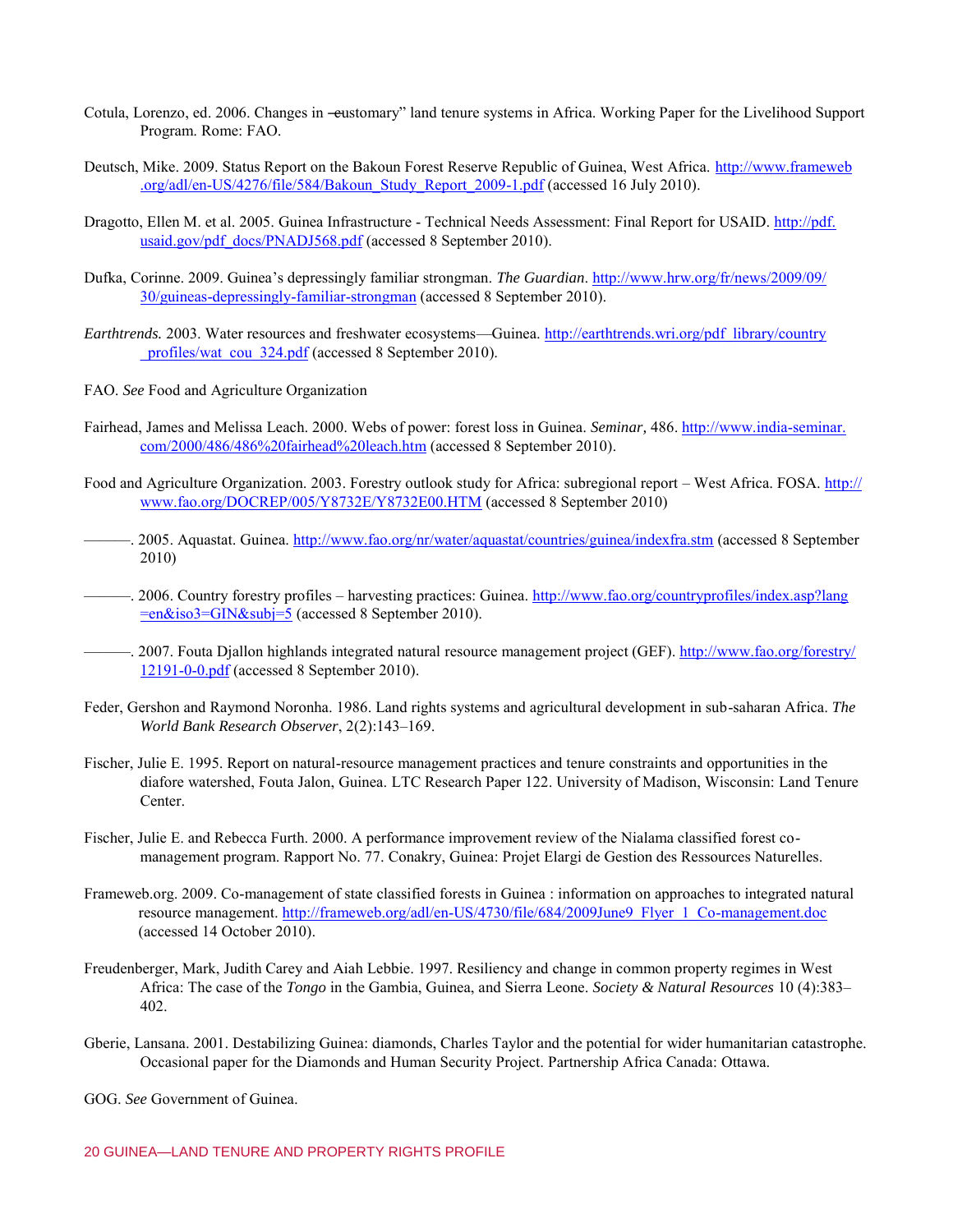- Cotula, Lorenzo, ed. 2006. Changes in —eustomary" land tenure systems in Africa. Working Paper for the Livelihood Support Program. Rome: FAO.
- Deutsch, Mike. 2009. Status Report on the Bakoun Forest Reserve Republic of Guinea, West Africa. [http://www.frameweb](http://www.frameweb.org/adl/en-US/4276/file/584/Bakoun_Study_Report_2009-1.pdf) [.org/adl/en-US/4276/file/584/Bakoun\\_Study\\_Report\\_2009-1.pdf](http://www.frameweb.org/adl/en-US/4276/file/584/Bakoun_Study_Report_2009-1.pdf) (accessed 16 July 2010).
- Dragotto, Ellen M. et al. 2005. Guinea Infrastructure Technical Needs Assessment: Final Report for USAID. [http://pdf.](http://pdf.usaid.gov/pdf_docs/PNADJ568.pdf) [usaid.gov/pdf\\_docs/PNADJ568.pdf](http://pdf.usaid.gov/pdf_docs/PNADJ568.pdf) (accessed 8 September 2010).
- Dufka, Corinne. 2009. Guinea's depressingly familiar strongman. *The Guardian*[. http://www.hrw.org/fr/news/2009/09/](http://www.hrw.org/fr/news/2009/09/30/guineas-depressingly-familiar-strongman) [30/guineas-depressingly-familiar-strongman](http://www.hrw.org/fr/news/2009/09/30/guineas-depressingly-familiar-strongman) (accessed 8 September 2010).
- *Earthtrends.* 2003. Water resources and freshwater ecosystems—Guinea. [http://earthtrends.wri.org/pdf\\_library/country](http://earthtrends.wri.org/pdf_library/country_profiles/wat_cou_324.pdf) profiles/wat\_cou\_324.pdf (accessed 8 September 2010).
- FAO. *See* Food and Agriculture Organization
- Fairhead, James and Melissa Leach. 2000. Webs of power: forest loss in Guinea. *Seminar,* 486. [http://www.india-seminar.](http://www.india-seminar.com/2000/486/486%20fairhead%20leach.htm) [com/2000/486/486%20fairhead%20leach.htm](http://www.india-seminar.com/2000/486/486%20fairhead%20leach.htm) (accessed 8 September 2010).
- Food and Agriculture Organization. 2003. Forestry outlook study for Africa: subregional report West Africa. FOSA. [http://](http://www.fao.org/DOCREP/005/Y8732E/Y8732E00.HTM) [www.fao.org/DOCREP/005/Y8732E/Y8732E00.HTM](http://www.fao.org/DOCREP/005/Y8732E/Y8732E00.HTM) (accessed 8 September 2010)
- —. 2005. Aquastat. Guinea.<http://www.fao.org/nr/water/aquastat/countries/guinea/indexfra.stm>(accessed 8 September 2010)
- ——. 2006. Country forestry profiles harvesting practices: Guinea. [http://www.fao.org/countryprofiles/index.asp?lang](http://www.fao.org/countryprofiles/index.asp?lang=en&iso3=GIN&subj=5) [=en&iso3=GIN&subj=5](http://www.fao.org/countryprofiles/index.asp?lang=en&iso3=GIN&subj=5) (accessed 8 September 2010).
- ——. 2007. Fouta Djallon highlands integrated natural resource management project (GEF)[. http://www.fao.org/forestry/](http://www.fao.org/forestry/12191-0-0.pdf) [12191-0-0.pdf](http://www.fao.org/forestry/12191-0-0.pdf) (accessed 8 September 2010).
- Feder, Gershon and Raymond Noronha. 1986. Land rights systems and agricultural development in sub-saharan Africa. *The World Bank Research Observer*, 2(2):143–169.
- Fischer, Julie E. 1995. Report on natural-resource management practices and tenure constraints and opportunities in the diafore watershed, Fouta Jalon, Guinea. LTC Research Paper 122. University of Madison, Wisconsin: Land Tenure Center.
- Fischer, Julie E. and Rebecca Furth. 2000. A performance improvement review of the Nialama classified forest comanagement program. Rapport No. 77. Conakry, Guinea: Projet Elargi de Gestion des Ressources Naturelles.
- Frameweb.org. 2009. Co-management of state classified forests in Guinea : information on approaches to integrated natural resource management. [http://frameweb.org/adl/en-US/4730/file/684/2009June9\\_Flyer\\_1\\_Co-management.doc](http://frameweb.org/adl/en-US/4730/file/684/2009June9_Flyer_1_Co-management.doc) (accessed 14 October 2010).
- Freudenberger, Mark, Judith Carey and Aiah Lebbie. 1997. Resiliency and change in common property regimes in West Africa: The case of the *Tongo* in the Gambia, Guinea, and Sierra Leone. *Society & Natural Resources* 10 (4):383– 402.
- Gberie, Lansana. 2001. Destabilizing Guinea: diamonds, Charles Taylor and the potential for wider humanitarian catastrophe. Occasional paper for the Diamonds and Human Security Project. Partnership Africa Canada: Ottawa.

GOG. *See* Government of Guinea.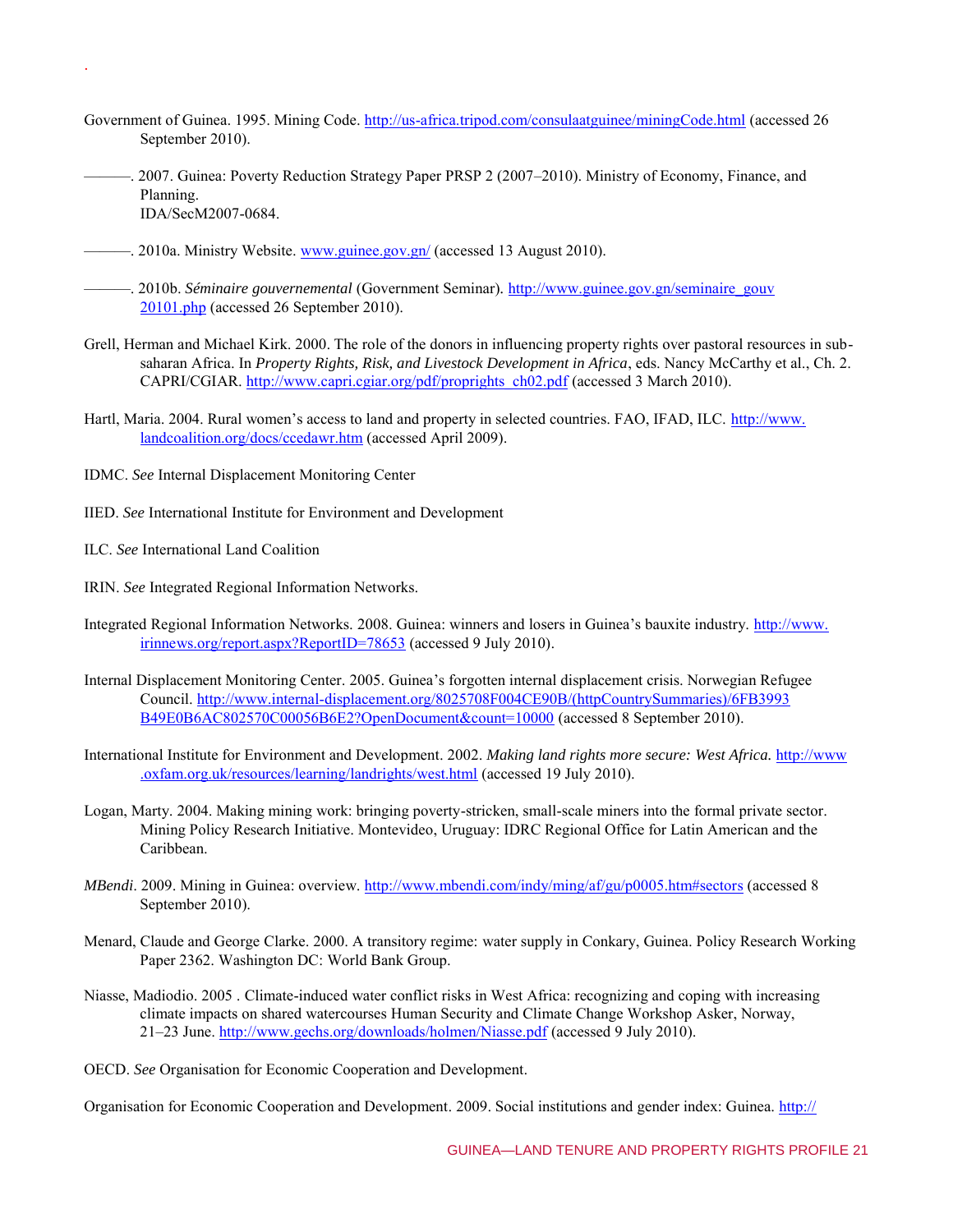- Government of Guinea. 1995. Mining Code. [http://us-africa.tripod.com/consulaatguinee/miningCode.html \(](http://us-africa.tripod.com/consulaatguinee/miningCode.html)accessed 26 September 2010).
- ———. 2007. Guinea: Poverty Reduction Strategy Paper PRSP 2 (2007–2010). Ministry of Economy, Finance, and Planning. IDA/SecM2007-0684.
- 2010a. Ministry Website. [www.guinee.gov.gn/](http://www.guinee.gov.gn/) (accessed 13 August 2010).
- ———. 2010b. *Séminaire gouvernemental* (Government Seminar)*.* [http://www.guinee.gov.gn/seminaire\\_gouv](http://www.guinee.gov.gn/seminaire_gouv20101.php) [20101.php](http://www.guinee.gov.gn/seminaire_gouv20101.php) (accessed 26 September 2010).
- Grell, Herman and Michael Kirk. 2000. The role of the donors in influencing property rights over pastoral resources in subsaharan Africa. In *Property Rights, Risk, and Livestock Development in Africa*, eds. Nancy McCarthy et al., Ch. 2. CAPRI/CGIAR. [http://www.capri.cgiar.org/pdf/proprights\\_ch02.pdf](http://www.capri.cgiar.org/pdf/proprights_ch02.pdf) (accessed 3 March 2010).
- Hartl, Maria. 2004. Rural women's access to land and property in selected countries. FAO, IFAD, ILC. [http://www.](http://www.landcoalition.org/docs/ccedawr.htm) [landcoalition.org/docs/ccedawr.htm \(](http://www.landcoalition.org/docs/ccedawr.htm)accessed April 2009).
- IDMC. *See* Internal Displacement Monitoring Center
- IIED. *See* International Institute for Environment and Development
- ILC. *See* International Land Coalition

.

- IRIN. *See* Integrated Regional Information Networks.
- Integrated Regional Information Networks. 2008. Guinea: winners and losers in Guinea's bauxite industry. [http://www.](http://www.irinnews.org/report.aspx?ReportID=78653) [irinnews.org/report.aspx?ReportID=78653](http://www.irinnews.org/report.aspx?ReportID=78653) (accessed 9 July 2010).
- Internal Displacement Monitoring Center. 2005. Guinea's forgotten internal displacement crisis. Norwegian Refugee Council[. http://www.internal-displacement.org/8025708F004CE90B/\(httpCountrySummaries\)/6FB3993](http://www.internal-displacement.org/8025708F004CE90B/(httpCountrySummaries)/6FB3993B49E0B6AC802570C00056B6E2?OpenDocument&count=10000) [B49E0B6AC802570C00056B6E2?OpenDocument&count=10000](http://www.internal-displacement.org/8025708F004CE90B/(httpCountrySummaries)/6FB3993B49E0B6AC802570C00056B6E2?OpenDocument&count=10000) (accessed 8 September 2010).
- International Institute for Environment and Development. 2002. *Making land rights more secure: West Africa.* [http://www](http://www.oxfam.org.uk/resources/learning/landrights/west.html) [.oxfam.org.uk/resources/learning/landrights/west.html](http://www.oxfam.org.uk/resources/learning/landrights/west.html) (accessed 19 July 2010).
- Logan, Marty. 2004. Making mining work: bringing poverty-stricken, small-scale miners into the formal private sector. Mining Policy Research Initiative. Montevideo, Uruguay: IDRC Regional Office for Latin American and the Caribbean.
- *MBendi*. 2009. Mining in Guinea: overview.<http://www.mbendi.com/indy/ming/af/gu/p0005.htm#sectors>(accessed 8 September 2010).
- Menard, Claude and George Clarke. 2000. A transitory regime: water supply in Conkary, Guinea. Policy Research Working Paper 2362. Washington DC: World Bank Group.
- Niasse, Madiodio. 2005 . Climate-induced water conflict risks in West Africa: recognizing and coping with increasing climate impacts on shared watercourses Human Security and Climate Change Workshop Asker, Norway, 21–23 June.<http://www.gechs.org/downloads/holmen/Niasse.pdf>(accessed 9 July 2010).
- OECD. *See* Organisation for Economic Cooperation and Development.

Organisation for Economic Cooperation and Development. 2009. Social institutions and gender index: Guinea. [http://](http://genderindex.org/country/guinea/)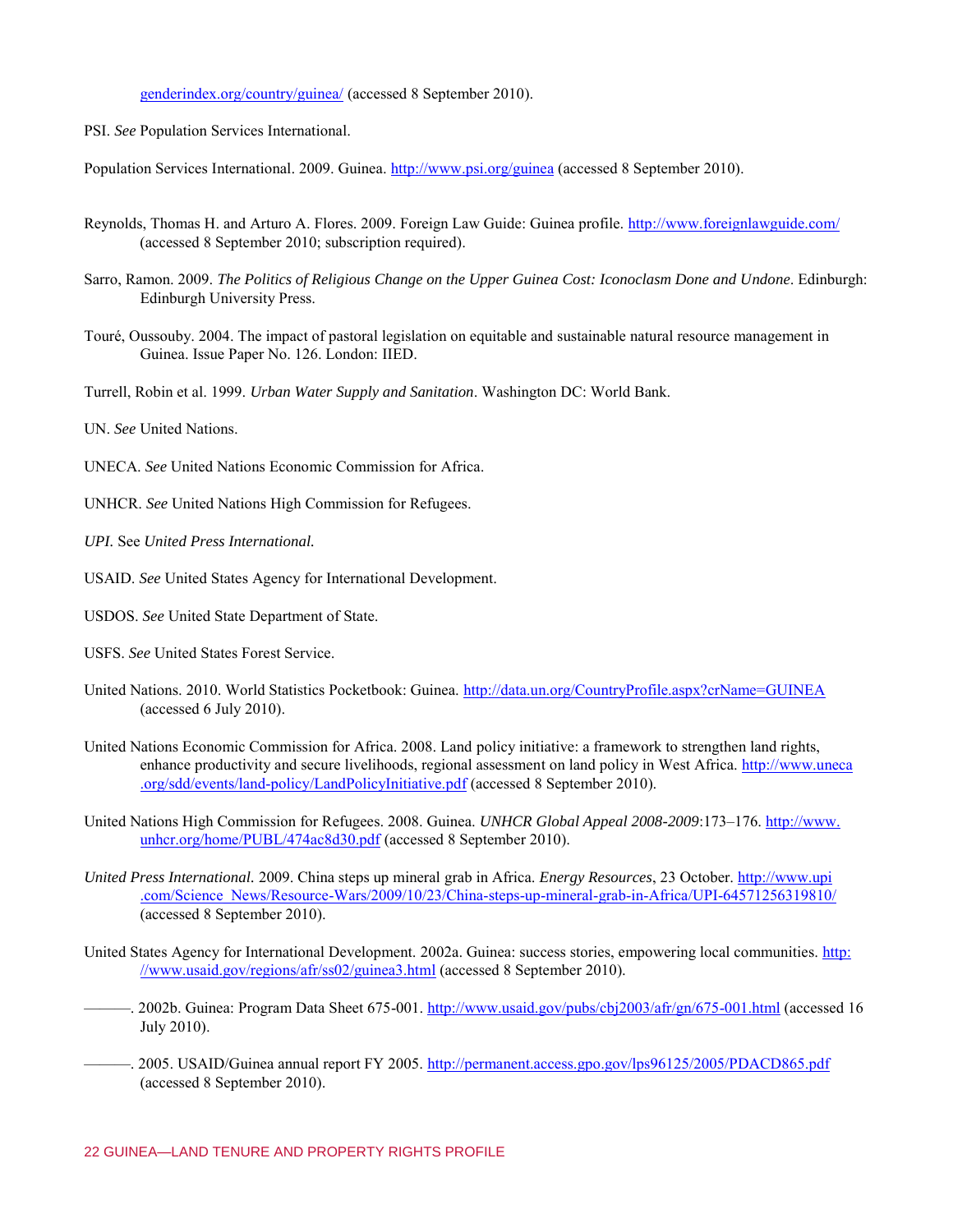genderindex.org/country/guinea/ (accessed 8 September 2010).

PSI. *See* Population Services International.

Population Services International. 2009. Guinea.<http://www.psi.org/guinea>(accessed 8 September 2010).

- Reynolds, Thomas H. and Arturo A. Flores. 2009. Foreign Law Guide: Guinea profile.<http://www.foreignlawguide.com/> (accessed 8 September 2010; subscription required).
- Sarro, Ramon. 2009. *The Politics of Religious Change on the Upper Guinea Cost: Iconoclasm Done and Undone*. Edinburgh: Edinburgh University Press.
- Touré, Oussouby. 2004. The impact of pastoral legislation on equitable and sustainable natural resource management in Guinea. Issue Paper No. 126. London: IIED.

Turrell, Robin et al. 1999. *Urban Water Supply and Sanitation*. Washington DC: World Bank.

- UN. *See* United Nations.
- UNECA. *See* United Nations Economic Commission for Africa.
- UNHCR. *See* United Nations High Commission for Refugees.
- *UPI.* See *United Press International.*
- USAID. *See* United States Agency for International Development.
- USDOS. *See* United State Department of State.
- USFS. *See* United States Forest Service.
- United Nations. 2010. World Statistics Pocketbook: Guinea.<http://data.un.org/CountryProfile.aspx?crName=GUINEA> (accessed 6 July 2010).
- United Nations Economic Commission for Africa. 2008. Land policy initiative: a framework to strengthen land rights, enhance productivity and secure livelihoods, regional assessment on land policy in West Africa. [http://www.uneca](http://www.uneca.org/sdd/events/land-policy/LandPolicyInitiative.pdf) [.org/sdd/events/land-policy/LandPolicyInitiative.pdf](http://www.uneca.org/sdd/events/land-policy/LandPolicyInitiative.pdf) (accessed 8 September 2010).
- United Nations High Commission for Refugees. 2008. Guinea. *UNHCR Global Appeal 2008-2009*:173–176[. http://www.](http://www.unhcr.org/home/PUBL/474ac8d30.pdf) [unhcr.org/home/PUBL/474ac8d30.pdf](http://www.unhcr.org/home/PUBL/474ac8d30.pdf) (accessed 8 September 2010).
- *United Press International.* 2009. China steps up mineral grab in Africa. *Energy Resources*, 23 October. [http://www.upi](http://www.upi.com/Science_News/Resource-Wars/2009/10/23/China-steps-up-mineral-grab-in-Africa/UPI-64571256319810/) [.com/Science\\_News/Resource-Wars/2009/10/23/China-steps-up-mineral-grab-in-Africa/UPI-64571256319810/](http://www.upi.com/Science_News/Resource-Wars/2009/10/23/China-steps-up-mineral-grab-in-Africa/UPI-64571256319810/) (accessed 8 September 2010).
- United States Agency for International Development. 2002a. Guinea: success stories, empowering local communities. [http:](http://www.usaid.gov/regions/afr/ss02/guinea3.html) [//www.usaid.gov/regions/afr/ss02/guinea3.html](http://www.usaid.gov/regions/afr/ss02/guinea3.html) (accessed 8 September 2010).
- —. 2002b. Guinea: Program Data Sheet 675-001[. http://www.usaid.gov/pubs/cbj2003/afr/gn/675-001.html](http://www.usaid.gov/pubs/cbj2003/afr/gn/675-001.html) (accessed 16 July 2010).
- ———. 2005. USAID/Guinea annual report FY 2005[. http://permanent.access.gpo.gov/lps96125/2005/PDACD865.pdf](http://permanent.access.gpo.gov/lps96125/2005/PDACD865.pdf)  (accessed 8 September 2010).